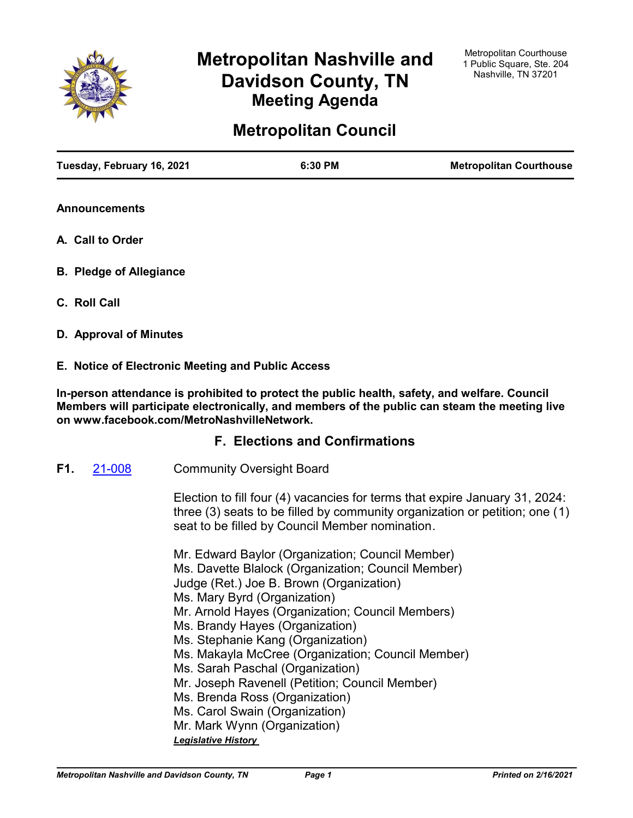

# **Metropolitan Nashville and Davidson County, TN Meeting Agenda**

# **Metropolitan Council**

| Tuesday, February 16, 2021 | 6:30 PM | <b>Metropolitan Courthouse</b> |
|----------------------------|---------|--------------------------------|
|                            |         |                                |

**Announcements**

- **A. Call to Order**
- **B. Pledge of Allegiance**
- **C. Roll Call**
- **D. Approval of Minutes**

# **E. Notice of Electronic Meeting and Public Access**

**In-person attendance is prohibited to protect the public health, safety, and welfare. Council Members will participate electronically, and members of the public can steam the meeting live on www.facebook.com/MetroNashvilleNetwork.**

# **F. Elections and Confirmations**

Community Oversight Board **F1.** [21-008](http://nashville.legistar.com/gateway.aspx?m=l&id=/matter.aspx?key=1916)

> Election to fill four (4) vacancies for terms that expire January 31, 2024: three (3) seats to be filled by community organization or petition; one (1) seat to be filled by Council Member nomination.

Mr. Edward Baylor (Organization; Council Member) Ms. Davette Blalock (Organization; Council Member) Judge (Ret.) Joe B. Brown (Organization) Ms. Mary Byrd (Organization) Mr. Arnold Hayes (Organization; Council Members) Ms. Brandy Hayes (Organization) Ms. Stephanie Kang (Organization) Ms. Makayla McCree (Organization; Council Member) Ms. Sarah Paschal (Organization) Mr. Joseph Ravenell (Petition; Council Member) Ms. Brenda Ross (Organization) Ms. Carol Swain (Organization) Mr. Mark Wynn (Organization)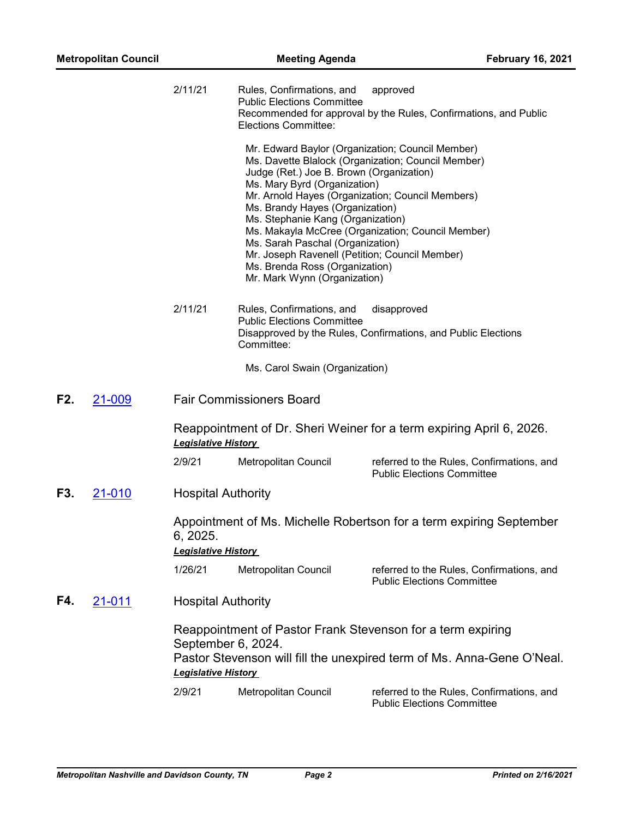|     |               | 2/11/21                                          | Rules, Confirmations, and<br><b>Public Elections Committee</b><br>Elections Committee:                                                                                                                                                                                                                                                                                                                           | approved<br>Recommended for approval by the Rules, Confirmations, and Public                                                          |
|-----|---------------|--------------------------------------------------|------------------------------------------------------------------------------------------------------------------------------------------------------------------------------------------------------------------------------------------------------------------------------------------------------------------------------------------------------------------------------------------------------------------|---------------------------------------------------------------------------------------------------------------------------------------|
|     |               |                                                  | Mr. Edward Baylor (Organization; Council Member)<br>Judge (Ret.) Joe B. Brown (Organization)<br>Ms. Mary Byrd (Organization)<br>Mr. Arnold Hayes (Organization; Council Members)<br>Ms. Brandy Hayes (Organization)<br>Ms. Stephanie Kang (Organization)<br>Ms. Sarah Paschal (Organization)<br>Mr. Joseph Ravenell (Petition; Council Member)<br>Ms. Brenda Ross (Organization)<br>Mr. Mark Wynn (Organization) | Ms. Davette Blalock (Organization; Council Member)<br>Ms. Makayla McCree (Organization; Council Member)                               |
|     |               | 2/11/21                                          | Rules, Confirmations, and<br><b>Public Elections Committee</b><br>Committee:                                                                                                                                                                                                                                                                                                                                     | disapproved<br>Disapproved by the Rules, Confirmations, and Public Elections                                                          |
|     |               |                                                  | Ms. Carol Swain (Organization)                                                                                                                                                                                                                                                                                                                                                                                   |                                                                                                                                       |
| F2. | 21-009        |                                                  | <b>Fair Commissioners Board</b>                                                                                                                                                                                                                                                                                                                                                                                  |                                                                                                                                       |
|     |               | <b>Legislative History</b>                       |                                                                                                                                                                                                                                                                                                                                                                                                                  | Reappointment of Dr. Sheri Weiner for a term expiring April 6, 2026.                                                                  |
|     |               | 2/9/21                                           | Metropolitan Council                                                                                                                                                                                                                                                                                                                                                                                             | referred to the Rules, Confirmations, and<br><b>Public Elections Committee</b>                                                        |
| F3. | 21-010        | <b>Hospital Authority</b>                        |                                                                                                                                                                                                                                                                                                                                                                                                                  |                                                                                                                                       |
|     |               | 6, 2025.<br><b>Legislative History</b>           |                                                                                                                                                                                                                                                                                                                                                                                                                  | Appointment of Ms. Michelle Robertson for a term expiring September                                                                   |
|     |               | 1/26/21                                          | Metropolitan Council                                                                                                                                                                                                                                                                                                                                                                                             | referred to the Rules, Confirmations, and<br><b>Public Elections Committee</b>                                                        |
| F4. | <u>21-011</u> | <b>Hospital Authority</b>                        |                                                                                                                                                                                                                                                                                                                                                                                                                  |                                                                                                                                       |
|     |               | September 6, 2024.<br><b>Legislative History</b> |                                                                                                                                                                                                                                                                                                                                                                                                                  | Reappointment of Pastor Frank Stevenson for a term expiring<br>Pastor Stevenson will fill the unexpired term of Ms. Anna-Gene O'Neal. |
|     |               | 2/9/21                                           | Metropolitan Council                                                                                                                                                                                                                                                                                                                                                                                             | referred to the Rules, Confirmations, and<br><b>Public Elections Committee</b>                                                        |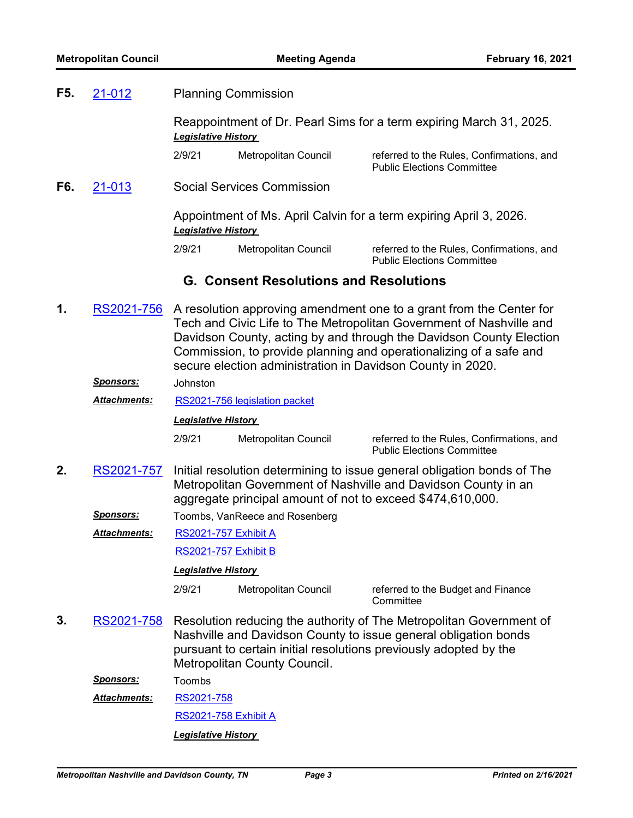**F5.** [21-012](http://nashville.legistar.com/gateway.aspx?m=l&id=/matter.aspx?key=1919)

Planning Commission

|     |                                  | <b>Legislative History</b> |                                                        |                                                                                                                                                                                                                                                                                                                                                       |
|-----|----------------------------------|----------------------------|--------------------------------------------------------|-------------------------------------------------------------------------------------------------------------------------------------------------------------------------------------------------------------------------------------------------------------------------------------------------------------------------------------------------------|
|     |                                  |                            | <b>RS2021-758 Exhibit A</b>                            |                                                                                                                                                                                                                                                                                                                                                       |
|     | <b>Attachments:</b>              | RS2021-758                 |                                                        |                                                                                                                                                                                                                                                                                                                                                       |
|     | <u>Sponsors:</u>                 | Toombs                     |                                                        |                                                                                                                                                                                                                                                                                                                                                       |
| 3.  | RS2021-758                       |                            | Metropolitan County Council.                           | Resolution reducing the authority of The Metropolitan Government of<br>Nashville and Davidson County to issue general obligation bonds<br>pursuant to certain initial resolutions previously adopted by the                                                                                                                                           |
|     |                                  | 2/9/21                     | Metropolitan Council                                   | referred to the Budget and Finance<br>Committee                                                                                                                                                                                                                                                                                                       |
|     |                                  | <b>Legislative History</b> |                                                        |                                                                                                                                                                                                                                                                                                                                                       |
|     |                                  |                            | RS2021-757 Exhibit B                                   |                                                                                                                                                                                                                                                                                                                                                       |
|     | <u>Sponsors:</u><br>Attachments: |                            | Toombs, VanReece and Rosenberg<br>RS2021-757 Exhibit A |                                                                                                                                                                                                                                                                                                                                                       |
| 2.  | RS2021-757                       |                            |                                                        | Initial resolution determining to issue general obligation bonds of The<br>Metropolitan Government of Nashville and Davidson County in an<br>aggregate principal amount of not to exceed \$474,610,000.                                                                                                                                               |
|     |                                  | 2/9/21                     | Metropolitan Council                                   | referred to the Rules, Confirmations, and<br><b>Public Elections Committee</b>                                                                                                                                                                                                                                                                        |
|     |                                  | <b>Legislative History</b> |                                                        |                                                                                                                                                                                                                                                                                                                                                       |
|     | Attachments:                     |                            | RS2021-756 legislation packet                          |                                                                                                                                                                                                                                                                                                                                                       |
|     | <u>Sponsors:</u>                 | Johnston                   |                                                        |                                                                                                                                                                                                                                                                                                                                                       |
| 1.  | RS2021-756                       |                            |                                                        | A resolution approving amendment one to a grant from the Center for<br>Tech and Civic Life to The Metropolitan Government of Nashville and<br>Davidson County, acting by and through the Davidson County Election<br>Commission, to provide planning and operationalizing of a safe and<br>secure election administration in Davidson County in 2020. |
|     |                                  |                            | <b>G. Consent Resolutions and Resolutions</b>          |                                                                                                                                                                                                                                                                                                                                                       |
|     |                                  | 2/9/21                     | Metropolitan Council                                   | referred to the Rules, Confirmations, and<br><b>Public Elections Committee</b>                                                                                                                                                                                                                                                                        |
|     |                                  | <b>Legislative History</b> |                                                        | Appointment of Ms. April Calvin for a term expiring April 3, 2026.                                                                                                                                                                                                                                                                                    |
| F6. | 21-013                           |                            | <b>Social Services Commission</b>                      |                                                                                                                                                                                                                                                                                                                                                       |
|     |                                  | 2/9/21                     | Metropolitan Council                                   | referred to the Rules, Confirmations, and<br><b>Public Elections Committee</b>                                                                                                                                                                                                                                                                        |
|     |                                  | <b>Legislative History</b> |                                                        |                                                                                                                                                                                                                                                                                                                                                       |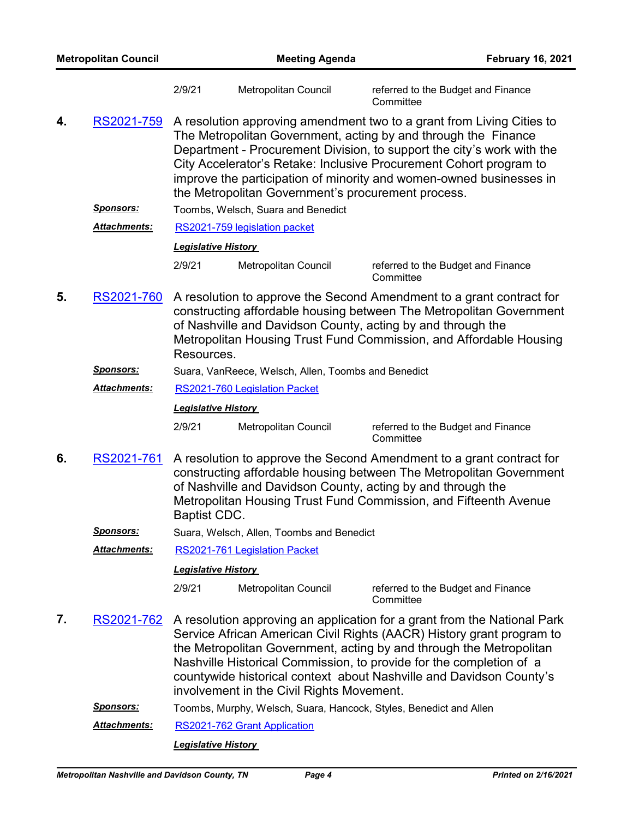| <b>Metropolitan Council</b> |                     |                            | <b>Meeting Agenda</b><br><b>February 16, 2021</b>   |                                                                                                                                                                                                                                                                                                                                                                        |
|-----------------------------|---------------------|----------------------------|-----------------------------------------------------|------------------------------------------------------------------------------------------------------------------------------------------------------------------------------------------------------------------------------------------------------------------------------------------------------------------------------------------------------------------------|
|                             |                     | 2/9/21                     | Metropolitan Council                                | referred to the Budget and Finance<br>Committee                                                                                                                                                                                                                                                                                                                        |
| 4.                          | RS2021-759          |                            | the Metropolitan Government's procurement process.  | A resolution approving amendment two to a grant from Living Cities to<br>The Metropolitan Government, acting by and through the Finance<br>Department - Procurement Division, to support the city's work with the<br>City Accelerator's Retake: Inclusive Procurement Cohort program to<br>improve the participation of minority and women-owned businesses in         |
|                             | <u>Sponsors:</u>    |                            | Toombs, Welsch, Suara and Benedict                  |                                                                                                                                                                                                                                                                                                                                                                        |
|                             | Attachments:        |                            | RS2021-759 legislation packet                       |                                                                                                                                                                                                                                                                                                                                                                        |
|                             |                     | <b>Legislative History</b> |                                                     |                                                                                                                                                                                                                                                                                                                                                                        |
|                             |                     | 2/9/21                     | Metropolitan Council                                | referred to the Budget and Finance<br>Committee                                                                                                                                                                                                                                                                                                                        |
| 5.                          | RS2021-760          | Resources.                 |                                                     | A resolution to approve the Second Amendment to a grant contract for<br>constructing affordable housing between The Metropolitan Government<br>of Nashville and Davidson County, acting by and through the<br>Metropolitan Housing Trust Fund Commission, and Affordable Housing                                                                                       |
|                             | <u>Sponsors:</u>    |                            | Suara, VanReece, Welsch, Allen, Toombs and Benedict |                                                                                                                                                                                                                                                                                                                                                                        |
|                             | Attachments:        |                            | RS2021-760 Legislation Packet                       |                                                                                                                                                                                                                                                                                                                                                                        |
|                             |                     | <b>Legislative History</b> |                                                     |                                                                                                                                                                                                                                                                                                                                                                        |
|                             |                     | 2/9/21                     | Metropolitan Council                                | referred to the Budget and Finance<br>Committee                                                                                                                                                                                                                                                                                                                        |
| 6.                          | RS2021-761          | Baptist CDC.               |                                                     | A resolution to approve the Second Amendment to a grant contract for<br>constructing affordable housing between The Metropolitan Government<br>of Nashville and Davidson County, acting by and through the<br>Metropolitan Housing Trust Fund Commission, and Fifteenth Avenue                                                                                         |
|                             | <b>Sponsors:</b>    |                            | Suara, Welsch, Allen, Toombs and Benedict           |                                                                                                                                                                                                                                                                                                                                                                        |
|                             | <b>Attachments:</b> |                            | RS2021-761 Legislation Packet                       |                                                                                                                                                                                                                                                                                                                                                                        |
|                             |                     | <b>Legislative History</b> |                                                     |                                                                                                                                                                                                                                                                                                                                                                        |
|                             |                     | 2/9/21                     | Metropolitan Council                                | referred to the Budget and Finance<br>Committee                                                                                                                                                                                                                                                                                                                        |
| 7.                          | RS2021-762          |                            | involvement in the Civil Rights Movement.           | A resolution approving an application for a grant from the National Park<br>Service African American Civil Rights (AACR) History grant program to<br>the Metropolitan Government, acting by and through the Metropolitan<br>Nashville Historical Commission, to provide for the completion of a<br>countywide historical context about Nashville and Davidson County's |
|                             | <b>Sponsors:</b>    |                            |                                                     | Toombs, Murphy, Welsch, Suara, Hancock, Styles, Benedict and Allen                                                                                                                                                                                                                                                                                                     |
|                             | Attachments:        |                            | RS2021-762 Grant Application                        |                                                                                                                                                                                                                                                                                                                                                                        |
|                             |                     | <b>Legislative History</b> |                                                     |                                                                                                                                                                                                                                                                                                                                                                        |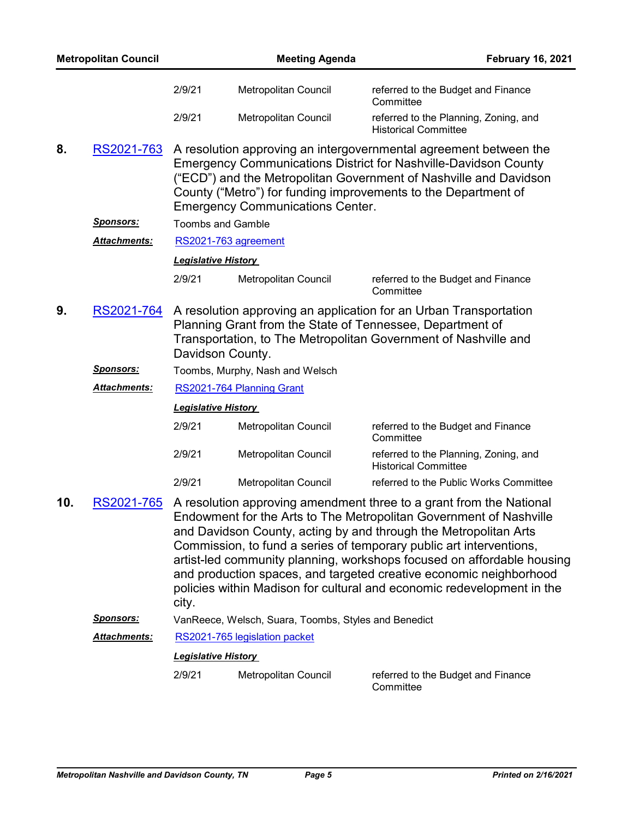|     | <b>Metropolitan Council</b> |                            | <b>Meeting Agenda</b>                                | <b>February 16, 2021</b>                                                                                                                                                                                                                                                                                                                                                                                                                                                                                       |
|-----|-----------------------------|----------------------------|------------------------------------------------------|----------------------------------------------------------------------------------------------------------------------------------------------------------------------------------------------------------------------------------------------------------------------------------------------------------------------------------------------------------------------------------------------------------------------------------------------------------------------------------------------------------------|
|     |                             | 2/9/21                     | Metropolitan Council                                 | referred to the Budget and Finance<br>Committee                                                                                                                                                                                                                                                                                                                                                                                                                                                                |
|     |                             | 2/9/21                     | Metropolitan Council                                 | referred to the Planning, Zoning, and<br><b>Historical Committee</b>                                                                                                                                                                                                                                                                                                                                                                                                                                           |
| 8.  | RS2021-763                  |                            | <b>Emergency Communications Center.</b>              | A resolution approving an intergovernmental agreement between the<br><b>Emergency Communications District for Nashville-Davidson County</b><br>("ECD") and the Metropolitan Government of Nashville and Davidson<br>County ("Metro") for funding improvements to the Department of                                                                                                                                                                                                                             |
|     | <u>Sponsors:</u>            | <b>Toombs and Gamble</b>   |                                                      |                                                                                                                                                                                                                                                                                                                                                                                                                                                                                                                |
|     | Attachments:                |                            | RS2021-763 agreement                                 |                                                                                                                                                                                                                                                                                                                                                                                                                                                                                                                |
|     |                             | <b>Legislative History</b> |                                                      |                                                                                                                                                                                                                                                                                                                                                                                                                                                                                                                |
|     |                             | 2/9/21                     | Metropolitan Council                                 | referred to the Budget and Finance<br>Committee                                                                                                                                                                                                                                                                                                                                                                                                                                                                |
| 9.  | RS2021-764                  | Davidson County.           |                                                      | A resolution approving an application for an Urban Transportation<br>Planning Grant from the State of Tennessee, Department of<br>Transportation, to The Metropolitan Government of Nashville and                                                                                                                                                                                                                                                                                                              |
|     | <u>Sponsors:</u>            |                            | Toombs, Murphy, Nash and Welsch                      |                                                                                                                                                                                                                                                                                                                                                                                                                                                                                                                |
|     | Attachments:                |                            | RS2021-764 Planning Grant                            |                                                                                                                                                                                                                                                                                                                                                                                                                                                                                                                |
|     |                             | <b>Legislative History</b> |                                                      |                                                                                                                                                                                                                                                                                                                                                                                                                                                                                                                |
|     |                             | 2/9/21                     | Metropolitan Council                                 | referred to the Budget and Finance<br>Committee                                                                                                                                                                                                                                                                                                                                                                                                                                                                |
|     |                             | 2/9/21                     | Metropolitan Council                                 | referred to the Planning, Zoning, and<br><b>Historical Committee</b>                                                                                                                                                                                                                                                                                                                                                                                                                                           |
|     |                             | 2/9/21                     | Metropolitan Council                                 | referred to the Public Works Committee                                                                                                                                                                                                                                                                                                                                                                                                                                                                         |
| 10. | RS2021-765                  | city.                      |                                                      | A resolution approving amendment three to a grant from the National<br>Endowment for the Arts to The Metropolitan Government of Nashville<br>and Davidson County, acting by and through the Metropolitan Arts<br>Commission, to fund a series of temporary public art interventions,<br>artist-led community planning, workshops focused on affordable housing<br>and production spaces, and targeted creative economic neighborhood<br>policies within Madison for cultural and economic redevelopment in the |
|     | <b>Sponsors:</b>            |                            | VanReece, Welsch, Suara, Toombs, Styles and Benedict |                                                                                                                                                                                                                                                                                                                                                                                                                                                                                                                |
|     | Attachments:                |                            | RS2021-765 legislation packet                        |                                                                                                                                                                                                                                                                                                                                                                                                                                                                                                                |
|     |                             | <b>Legislative History</b> |                                                      |                                                                                                                                                                                                                                                                                                                                                                                                                                                                                                                |
|     |                             | 2/9/21                     | Metropolitan Council                                 | referred to the Budget and Finance<br>Committee                                                                                                                                                                                                                                                                                                                                                                                                                                                                |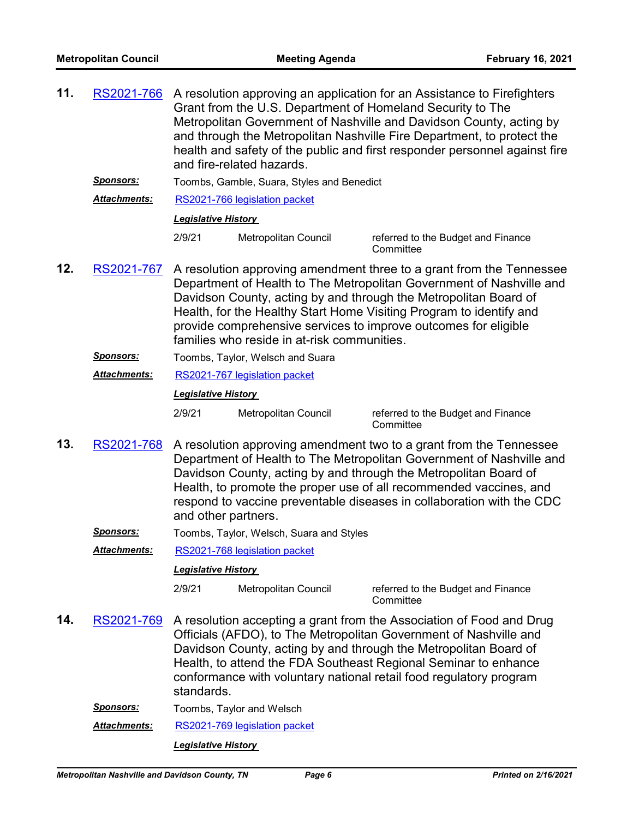| 11. | RS2021-766          | A resolution approving an application for an Assistance to Firefighters<br>Grant from the U.S. Department of Homeland Security to The<br>Metropolitan Government of Nashville and Davidson County, acting by<br>and through the Metropolitan Nashville Fire Department, to protect the<br>health and safety of the public and first responder personnel against fire<br>and fire-related hazards. |                                             |                                                                                                                                                                                                                                                                                                                                                            |  |
|-----|---------------------|---------------------------------------------------------------------------------------------------------------------------------------------------------------------------------------------------------------------------------------------------------------------------------------------------------------------------------------------------------------------------------------------------|---------------------------------------------|------------------------------------------------------------------------------------------------------------------------------------------------------------------------------------------------------------------------------------------------------------------------------------------------------------------------------------------------------------|--|
|     | <b>Sponsors:</b>    | Toombs, Gamble, Suara, Styles and Benedict                                                                                                                                                                                                                                                                                                                                                        |                                             |                                                                                                                                                                                                                                                                                                                                                            |  |
|     | Attachments:        | RS2021-766 legislation packet                                                                                                                                                                                                                                                                                                                                                                     |                                             |                                                                                                                                                                                                                                                                                                                                                            |  |
|     |                     | <b>Legislative History</b>                                                                                                                                                                                                                                                                                                                                                                        |                                             |                                                                                                                                                                                                                                                                                                                                                            |  |
|     |                     | 2/9/21                                                                                                                                                                                                                                                                                                                                                                                            | Metropolitan Council                        | referred to the Budget and Finance<br>Committee                                                                                                                                                                                                                                                                                                            |  |
| 12. | RS2021-767          |                                                                                                                                                                                                                                                                                                                                                                                                   | families who reside in at-risk communities. | A resolution approving amendment three to a grant from the Tennessee<br>Department of Health to The Metropolitan Government of Nashville and<br>Davidson County, acting by and through the Metropolitan Board of<br>Health, for the Healthy Start Home Visiting Program to identify and<br>provide comprehensive services to improve outcomes for eligible |  |
|     | <u>Sponsors:</u>    |                                                                                                                                                                                                                                                                                                                                                                                                   | Toombs, Taylor, Welsch and Suara            |                                                                                                                                                                                                                                                                                                                                                            |  |
|     | <b>Attachments:</b> |                                                                                                                                                                                                                                                                                                                                                                                                   | RS2021-767 legislation packet               |                                                                                                                                                                                                                                                                                                                                                            |  |
|     |                     | <b>Legislative History</b>                                                                                                                                                                                                                                                                                                                                                                        |                                             |                                                                                                                                                                                                                                                                                                                                                            |  |
|     |                     | 2/9/21<br>Metropolitan Council<br>referred to the Budget and Finance<br>Committee                                                                                                                                                                                                                                                                                                                 |                                             |                                                                                                                                                                                                                                                                                                                                                            |  |
|     | <b>BOODS</b> 1 500  |                                                                                                                                                                                                                                                                                                                                                                                                   |                                             |                                                                                                                                                                                                                                                                                                                                                            |  |

- A resolution approving amendment two to a grant from the Tennessee Department of Health to The Metropolitan Government of Nashville and Davidson County, acting by and through the Metropolitan Board of Health, to promote the proper use of all recommended vaccines, and respond to vaccine preventable diseases in collaboration with the CDC and other partners. **13.** [RS2021-768](http://nashville.legistar.com/gateway.aspx?m=l&id=/matter.aspx?key=1906)
	- *Sponsors:* Toombs, Taylor, Welsch, Suara and Styles
	- *Attachments:* [RS2021-768 legislation packet](http://nashville.legistar.com/gateway.aspx?M=F&ID=dc314057-cd8f-4d53-a691-58ab4ce40a70.PDF)

#### *Legislative History*

2/9/21 Metropolitan Council referred to the Budget and Finance **Committee** 

- A resolution accepting a grant from the Association of Food and Drug Officials (AFDO), to The Metropolitan Government of Nashville and Davidson County, acting by and through the Metropolitan Board of Health, to attend the FDA Southeast Regional Seminar to enhance conformance with voluntary national retail food regulatory program standards. **14.** [RS2021-769](http://nashville.legistar.com/gateway.aspx?m=l&id=/matter.aspx?key=1907)
	- **Sponsors:** Toombs, Taylor and Welsch

*Attachments:* [RS2021-769 legislation packet](http://nashville.legistar.com/gateway.aspx?M=F&ID=f3c3f80d-f490-4173-a93f-892c7826fd10.PDF)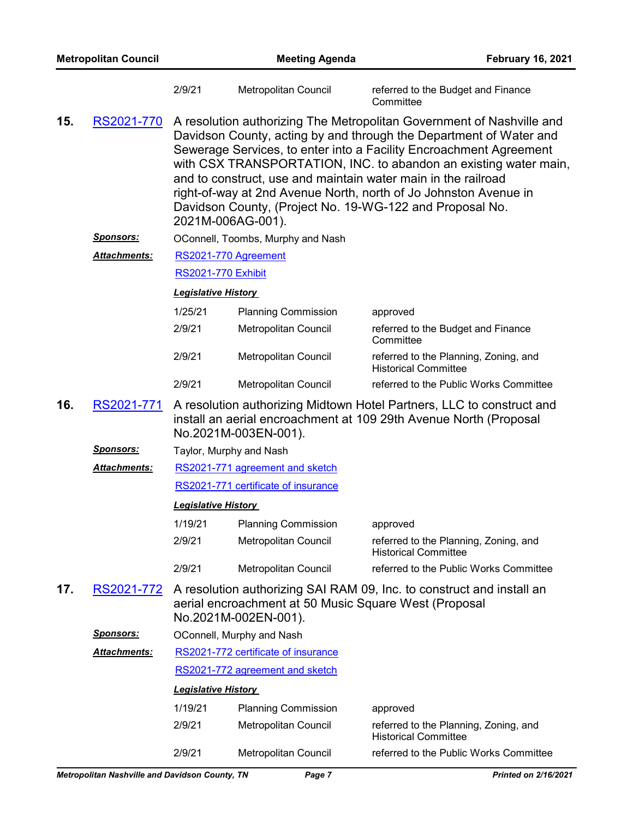| <b>Metropolitan Council</b> |                     |                            | <b>Meeting Agenda</b><br><b>February 16, 2021</b>                             |                                                                                                                                                                                                                                                                                                                                                                                                                                                                                        |
|-----------------------------|---------------------|----------------------------|-------------------------------------------------------------------------------|----------------------------------------------------------------------------------------------------------------------------------------------------------------------------------------------------------------------------------------------------------------------------------------------------------------------------------------------------------------------------------------------------------------------------------------------------------------------------------------|
|                             |                     | 2/9/21                     | Metropolitan Council                                                          | referred to the Budget and Finance<br>Committee                                                                                                                                                                                                                                                                                                                                                                                                                                        |
| 15.                         | RS2021-770          |                            | 2021M-006AG-001).                                                             | A resolution authorizing The Metropolitan Government of Nashville and<br>Davidson County, acting by and through the Department of Water and<br>Sewerage Services, to enter into a Facility Encroachment Agreement<br>with CSX TRANSPORTATION, INC. to abandon an existing water main,<br>and to construct, use and maintain water main in the railroad<br>right-of-way at 2nd Avenue North, north of Jo Johnston Avenue in<br>Davidson County, (Project No. 19-WG-122 and Proposal No. |
|                             | <u>Sponsors:</u>    |                            | OConnell, Toombs, Murphy and Nash                                             |                                                                                                                                                                                                                                                                                                                                                                                                                                                                                        |
|                             | Attachments:        |                            | RS2021-770 Agreement                                                          |                                                                                                                                                                                                                                                                                                                                                                                                                                                                                        |
|                             |                     |                            | <b>RS2021-770 Exhibit</b>                                                     |                                                                                                                                                                                                                                                                                                                                                                                                                                                                                        |
|                             |                     | <b>Legislative History</b> |                                                                               |                                                                                                                                                                                                                                                                                                                                                                                                                                                                                        |
|                             |                     | 1/25/21                    | <b>Planning Commission</b>                                                    | approved                                                                                                                                                                                                                                                                                                                                                                                                                                                                               |
|                             |                     | 2/9/21                     | Metropolitan Council                                                          | referred to the Budget and Finance<br>Committee                                                                                                                                                                                                                                                                                                                                                                                                                                        |
|                             |                     | 2/9/21                     | Metropolitan Council                                                          | referred to the Planning, Zoning, and<br><b>Historical Committee</b>                                                                                                                                                                                                                                                                                                                                                                                                                   |
|                             |                     | 2/9/21                     | Metropolitan Council                                                          | referred to the Public Works Committee                                                                                                                                                                                                                                                                                                                                                                                                                                                 |
| 16.                         | RS2021-771          |                            | No.2021M-003EN-001).                                                          | A resolution authorizing Midtown Hotel Partners, LLC to construct and<br>install an aerial encroachment at 109 29th Avenue North (Proposal                                                                                                                                                                                                                                                                                                                                             |
|                             | <u>Sponsors:</u>    |                            | Taylor, Murphy and Nash                                                       |                                                                                                                                                                                                                                                                                                                                                                                                                                                                                        |
|                             | <b>Attachments:</b> |                            | RS2021-771 agreement and sketch                                               |                                                                                                                                                                                                                                                                                                                                                                                                                                                                                        |
|                             |                     |                            | RS2021-771 certificate of insurance                                           |                                                                                                                                                                                                                                                                                                                                                                                                                                                                                        |
|                             |                     | <b>Legislative History</b> |                                                                               |                                                                                                                                                                                                                                                                                                                                                                                                                                                                                        |
|                             |                     | 1/19/21                    | <b>Planning Commission</b>                                                    | approved                                                                                                                                                                                                                                                                                                                                                                                                                                                                               |
|                             |                     | 2/9/21                     | Metropolitan Council                                                          | referred to the Planning, Zoning, and<br><b>Historical Committee</b>                                                                                                                                                                                                                                                                                                                                                                                                                   |
|                             |                     | 2/9/21                     | Metropolitan Council                                                          | referred to the Public Works Committee                                                                                                                                                                                                                                                                                                                                                                                                                                                 |
| 17.                         | <u>RS2021-772</u>   |                            | aerial encroachment at 50 Music Square West (Proposal<br>No.2021M-002EN-001). | A resolution authorizing SAI RAM 09, Inc. to construct and install an                                                                                                                                                                                                                                                                                                                                                                                                                  |
|                             | <b>Sponsors:</b>    |                            | OConnell, Murphy and Nash                                                     |                                                                                                                                                                                                                                                                                                                                                                                                                                                                                        |
|                             | <b>Attachments:</b> |                            | RS2021-772 certificate of insurance                                           |                                                                                                                                                                                                                                                                                                                                                                                                                                                                                        |
|                             |                     |                            | RS2021-772 agreement and sketch                                               |                                                                                                                                                                                                                                                                                                                                                                                                                                                                                        |
|                             |                     | <b>Legislative History</b> |                                                                               |                                                                                                                                                                                                                                                                                                                                                                                                                                                                                        |
|                             |                     | 1/19/21                    | <b>Planning Commission</b>                                                    | approved                                                                                                                                                                                                                                                                                                                                                                                                                                                                               |
|                             |                     | 2/9/21                     | Metropolitan Council                                                          | referred to the Planning, Zoning, and<br><b>Historical Committee</b>                                                                                                                                                                                                                                                                                                                                                                                                                   |
|                             |                     | 2/9/21                     | Metropolitan Council                                                          | referred to the Public Works Committee                                                                                                                                                                                                                                                                                                                                                                                                                                                 |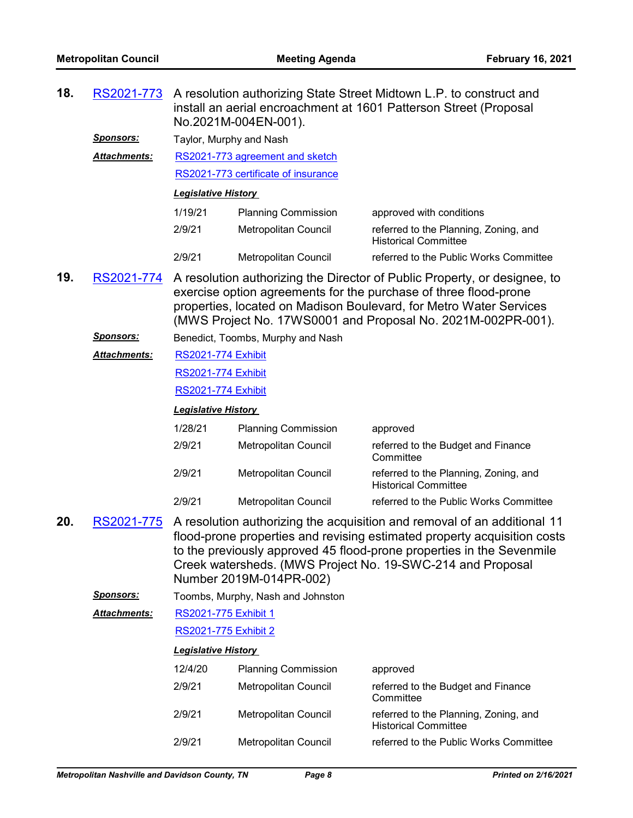| 18. | RS2021-773                                            |                             | No.2021M-004EN-001).                | A resolution authorizing State Street Midtown L.P. to construct and<br>install an aerial encroachment at 1601 Patterson Street (Proposal                                                                                                                                                    |
|-----|-------------------------------------------------------|-----------------------------|-------------------------------------|---------------------------------------------------------------------------------------------------------------------------------------------------------------------------------------------------------------------------------------------------------------------------------------------|
|     | <b>Sponsors:</b>                                      | Taylor, Murphy and Nash     |                                     |                                                                                                                                                                                                                                                                                             |
|     | <b>Attachments:</b>                                   |                             | RS2021-773 agreement and sketch     |                                                                                                                                                                                                                                                                                             |
|     |                                                       |                             | RS2021-773 certificate of insurance |                                                                                                                                                                                                                                                                                             |
|     |                                                       | <b>Legislative History</b>  |                                     |                                                                                                                                                                                                                                                                                             |
|     |                                                       | 1/19/21                     | <b>Planning Commission</b>          | approved with conditions                                                                                                                                                                                                                                                                    |
|     |                                                       | 2/9/21                      | Metropolitan Council                | referred to the Planning, Zoning, and<br><b>Historical Committee</b>                                                                                                                                                                                                                        |
|     |                                                       | 2/9/21                      | Metropolitan Council                | referred to the Public Works Committee                                                                                                                                                                                                                                                      |
| 19. | RS2021-774                                            |                             |                                     | A resolution authorizing the Director of Public Property, or designee, to<br>exercise option agreements for the purchase of three flood-prone<br>properties, located on Madison Boulevard, for Metro Water Services<br>(MWS Project No. 17WS0001 and Proposal No. 2021M-002PR-001).         |
|     | <u>Sponsors:</u><br>Benedict, Toombs, Murphy and Nash |                             |                                     |                                                                                                                                                                                                                                                                                             |
|     | Attachments:                                          | <b>RS2021-774 Exhibit</b>   |                                     |                                                                                                                                                                                                                                                                                             |
|     |                                                       | <b>RS2021-774 Exhibit</b>   |                                     |                                                                                                                                                                                                                                                                                             |
|     |                                                       | <b>RS2021-774 Exhibit</b>   |                                     |                                                                                                                                                                                                                                                                                             |
|     |                                                       | <b>Legislative History</b>  |                                     |                                                                                                                                                                                                                                                                                             |
|     |                                                       | 1/28/21                     | <b>Planning Commission</b>          | approved                                                                                                                                                                                                                                                                                    |
|     |                                                       | 2/9/21                      | Metropolitan Council                | referred to the Budget and Finance<br>Committee                                                                                                                                                                                                                                             |
|     |                                                       | 2/9/21                      | Metropolitan Council                | referred to the Planning, Zoning, and<br><b>Historical Committee</b>                                                                                                                                                                                                                        |
|     |                                                       | 2/9/21                      | Metropolitan Council                | referred to the Public Works Committee                                                                                                                                                                                                                                                      |
| 20. | RS2021-775                                            |                             | Number 2019M-014PR-002)             | A resolution authorizing the acquisition and removal of an additional 11<br>flood-prone properties and revising estimated property acquisition costs<br>to the previously approved 45 flood-prone properties in the Sevenmile<br>Creek watersheds. (MWS Project No. 19-SWC-214 and Proposal |
|     | <b>Sponsors:</b>                                      |                             | Toombs, Murphy, Nash and Johnston   |                                                                                                                                                                                                                                                                                             |
|     | Attachments:                                          | RS2021-775 Exhibit 1        |                                     |                                                                                                                                                                                                                                                                                             |
|     |                                                       | <b>RS2021-775 Exhibit 2</b> |                                     |                                                                                                                                                                                                                                                                                             |
|     |                                                       | <b>Legislative History</b>  |                                     |                                                                                                                                                                                                                                                                                             |
|     |                                                       | 12/4/20                     | <b>Planning Commission</b>          | approved                                                                                                                                                                                                                                                                                    |
|     |                                                       | 2/9/21                      | Metropolitan Council                | referred to the Budget and Finance<br>Committee                                                                                                                                                                                                                                             |
|     |                                                       | 2/9/21                      | Metropolitan Council                | referred to the Planning, Zoning, and<br><b>Historical Committee</b>                                                                                                                                                                                                                        |
|     |                                                       | 2/9/21                      | Metropolitan Council                | referred to the Public Works Committee                                                                                                                                                                                                                                                      |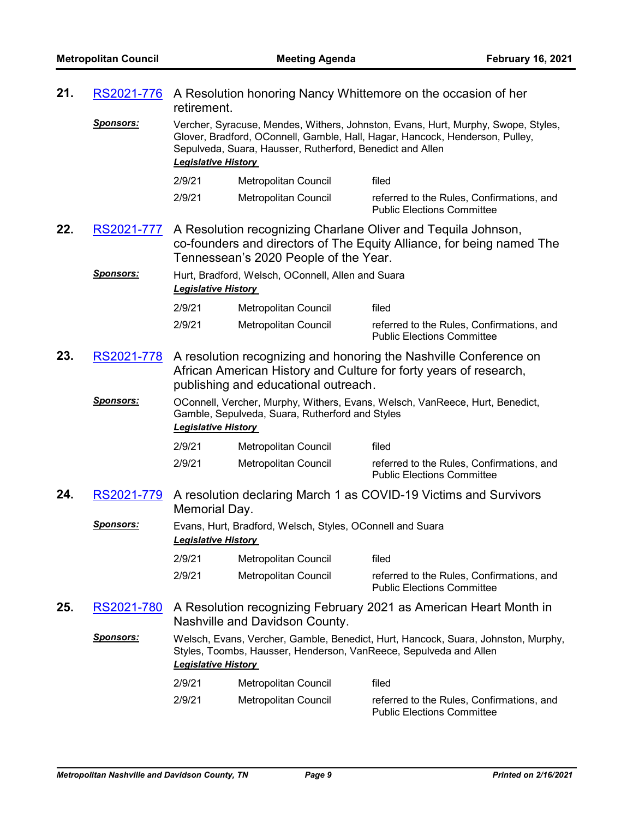| 21. | RS2021-776        | A Resolution honoring Nancy Whittemore on the occasion of her<br>retirement.    |                                                                   |                                                                                                                                                                   |  |
|-----|-------------------|---------------------------------------------------------------------------------|-------------------------------------------------------------------|-------------------------------------------------------------------------------------------------------------------------------------------------------------------|--|
|     | <u>Sponsors:</u>  | <b>Legislative History</b>                                                      | Sepulveda, Suara, Hausser, Rutherford, Benedict and Allen         | Vercher, Syracuse, Mendes, Withers, Johnston, Evans, Hurt, Murphy, Swope, Styles,<br>Glover, Bradford, OConnell, Gamble, Hall, Hagar, Hancock, Henderson, Pulley, |  |
|     |                   | 2/9/21                                                                          | Metropolitan Council                                              | filed                                                                                                                                                             |  |
|     |                   | 2/9/21                                                                          | Metropolitan Council                                              | referred to the Rules, Confirmations, and<br><b>Public Elections Committee</b>                                                                                    |  |
| 22. | RS2021-777        |                                                                                 | Tennessean's 2020 People of the Year.                             | A Resolution recognizing Charlane Oliver and Tequila Johnson,<br>co-founders and directors of The Equity Alliance, for being named The                            |  |
|     | <u>Sponsors:</u>  | Hurt, Bradford, Welsch, OConnell, Allen and Suara<br><b>Legislative History</b> |                                                                   |                                                                                                                                                                   |  |
|     |                   | 2/9/21                                                                          | Metropolitan Council                                              | filed                                                                                                                                                             |  |
|     |                   | 2/9/21                                                                          | Metropolitan Council                                              | referred to the Rules, Confirmations, and<br><b>Public Elections Committee</b>                                                                                    |  |
| 23. | RS2021-778        |                                                                                 | publishing and educational outreach.                              | A resolution recognizing and honoring the Nashville Conference on<br>African American History and Culture for forty years of research,                            |  |
|     | <u>Sponsors:</u>  | <b>Legislative History</b>                                                      | Gamble, Sepulveda, Suara, Rutherford and Styles                   | OConnell, Vercher, Murphy, Withers, Evans, Welsch, VanReece, Hurt, Benedict,                                                                                      |  |
|     |                   | 2/9/21                                                                          | Metropolitan Council                                              | filed                                                                                                                                                             |  |
|     |                   | 2/9/21                                                                          | Metropolitan Council                                              | referred to the Rules, Confirmations, and<br><b>Public Elections Committee</b>                                                                                    |  |
| 24. | RS2021-779        | Memorial Day.                                                                   |                                                                   | A resolution declaring March 1 as COVID-19 Victims and Survivors                                                                                                  |  |
|     | <u>Sponsors:</u>  | <b>Legislative History</b>                                                      | Evans, Hurt, Bradford, Welsch, Styles, OConnell and Suara         |                                                                                                                                                                   |  |
|     |                   | 2/9/21                                                                          | Metropolitan Council                                              | filed                                                                                                                                                             |  |
|     |                   | 2/9/21                                                                          | Metropolitan Council                                              | referred to the Rules, Confirmations, and<br><b>Public Elections Committee</b>                                                                                    |  |
| 25. | <u>RS2021-780</u> |                                                                                 | Nashville and Davidson County.                                    | A Resolution recognizing February 2021 as American Heart Month in                                                                                                 |  |
|     | <b>Sponsors:</b>  | <b>Legislative History</b>                                                      | Styles, Toombs, Hausser, Henderson, VanReece, Sepulveda and Allen | Welsch, Evans, Vercher, Gamble, Benedict, Hurt, Hancock, Suara, Johnston, Murphy,                                                                                 |  |
|     |                   | 2/9/21                                                                          | Metropolitan Council                                              | filed                                                                                                                                                             |  |
|     |                   | 2/9/21                                                                          | Metropolitan Council                                              | referred to the Rules, Confirmations, and<br><b>Public Elections Committee</b>                                                                                    |  |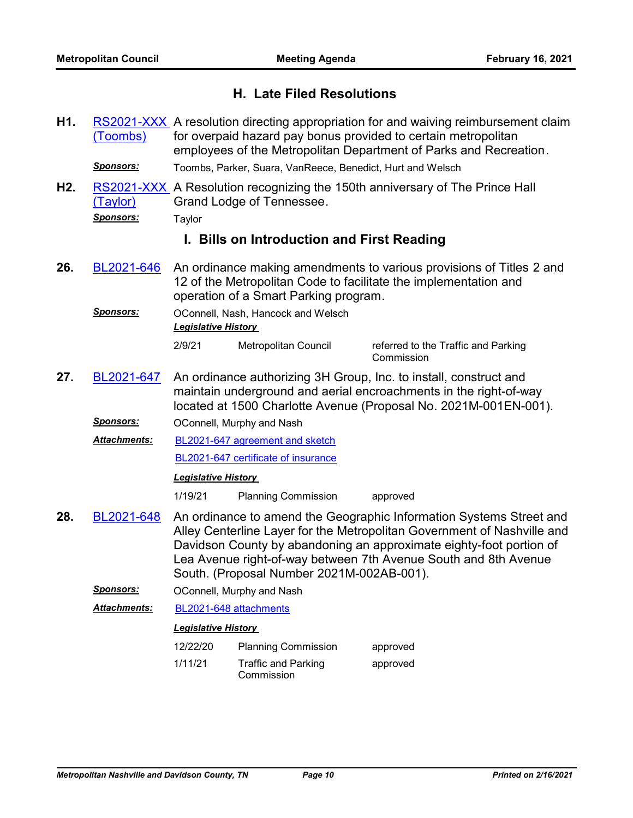# **H. Late Filed Resolutions**

- [RS2021-XXX](http://nashville.legistar.com/gateway.aspx?m=l&id=/matter.aspx?key=1931) A resolution directing appropriation for and waiving reimbursement claim for overpaid hazard pay bonus provided to certain metropolitan employees of the Metropolitan Department of Parks and Recreation. (Toombs) **H1.** *Sponsors:* Toombs, Parker, Suara, VanReece, Benedict, Hurt and Welsch
- RS2021-XXX, A Resolution recognizing the 150th anniversary of The Prince Hall Grand Lodge of Tennessee. (Taylor) **H2.**
	- *Sponsors:* Taylor

# **I. Bills on Introduction and First Reading**

An ordinance making amendments to various provisions of Titles 2 and 12 of the Metropolitan Code to facilitate the implementation and operation of a Smart Parking program. **26.** [BL2021-646](http://nashville.legistar.com/gateway.aspx?m=l&id=/matter.aspx?key=1921)

*Sponsors:* OConnell, Nash, Hancock and Welsch *Legislative History* 

2/9/21 Metropolitan Council referred to the Traffic and Parking

Commission

An ordinance authorizing 3H Group, Inc. to install, construct and maintain underground and aerial encroachments in the right-of-way located at 1500 Charlotte Avenue (Proposal No. 2021M-001EN-001). **27.** [BL2021-647](http://nashville.legistar.com/gateway.aspx?m=l&id=/matter.aspx?key=1898)

**Sponsors: OConnell, Murphy and Nash** 

[BL2021-647 agreement and sketch](http://nashville.legistar.com/gateway.aspx?M=F&ID=9b13419e-57a9-49ad-8cbb-4d3d3e70b50f.DOCX) [BL2021-647 certificate of insurance](http://nashville.legistar.com/gateway.aspx?M=F&ID=1e6df874-ebe2-431d-af5d-bfd2972c0a87.DOC) *Attachments:*

# *Legislative History*

1/19/21 Planning Commission approved

- An ordinance to amend the Geographic Information Systems Street and Alley Centerline Layer for the Metropolitan Government of Nashville and Davidson County by abandoning an approximate eighty-foot portion of Lea Avenue right-of-way between 7th Avenue South and 8th Avenue South. (Proposal Number 2021M-002AB-001). **28.** [BL2021-648](http://nashville.legistar.com/gateway.aspx?m=l&id=/matter.aspx?key=1893)
	- *Sponsors:* OConnell, Murphy and Nash
	- *Attachments:* [BL2021-648 attachments](http://nashville.legistar.com/gateway.aspx?M=F&ID=ce9e34bc-0c80-4b20-8f72-fe2eb29751ec.DOCX)

# *Legislative History*

12/22/20 Planning Commission approved 1/11/21 Traffic and Parking Commission approved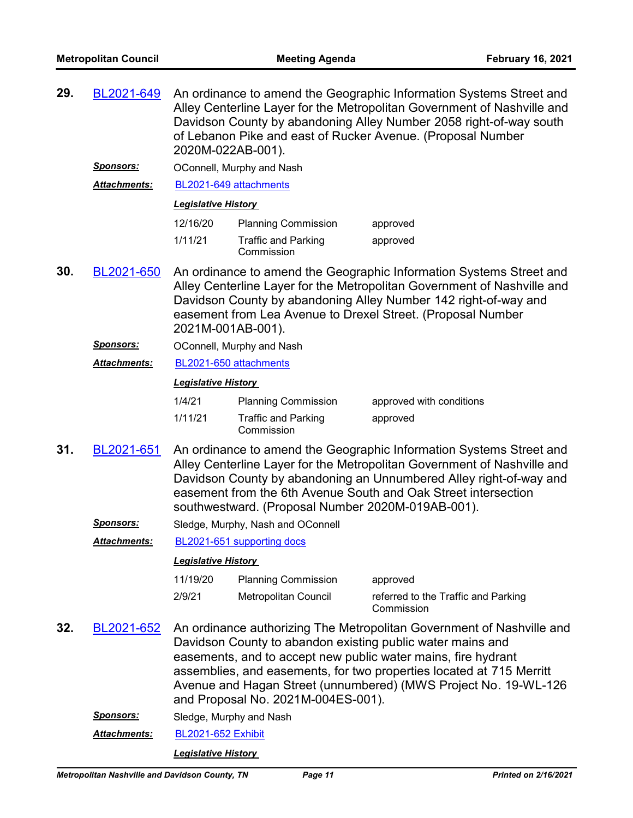| 29. | BL2021-649          | An ordinance to amend the Geographic Information Systems Street and<br>Alley Centerline Layer for the Metropolitan Government of Nashville and<br>Davidson County by abandoning Alley Number 2058 right-of-way south<br>of Lebanon Pike and east of Rucker Avenue. (Proposal Number<br>2020M-022AB-001). |                                                                        |                                                                                                                                                                                                                                                                                                                                                 |  |  |
|-----|---------------------|----------------------------------------------------------------------------------------------------------------------------------------------------------------------------------------------------------------------------------------------------------------------------------------------------------|------------------------------------------------------------------------|-------------------------------------------------------------------------------------------------------------------------------------------------------------------------------------------------------------------------------------------------------------------------------------------------------------------------------------------------|--|--|
|     | <u>Sponsors:</u>    |                                                                                                                                                                                                                                                                                                          | OConnell, Murphy and Nash                                              |                                                                                                                                                                                                                                                                                                                                                 |  |  |
|     | Attachments:        | BL2021-649 attachments                                                                                                                                                                                                                                                                                   |                                                                        |                                                                                                                                                                                                                                                                                                                                                 |  |  |
|     |                     | <b>Legislative History</b>                                                                                                                                                                                                                                                                               |                                                                        |                                                                                                                                                                                                                                                                                                                                                 |  |  |
|     |                     | 12/16/20                                                                                                                                                                                                                                                                                                 | <b>Planning Commission</b>                                             | approved                                                                                                                                                                                                                                                                                                                                        |  |  |
|     |                     | 1/11/21                                                                                                                                                                                                                                                                                                  | <b>Traffic and Parking</b><br>Commission                               | approved                                                                                                                                                                                                                                                                                                                                        |  |  |
| 30. | BL2021-650          | An ordinance to amend the Geographic Information Systems Street and<br>Alley Centerline Layer for the Metropolitan Government of Nashville and<br>Davidson County by abandoning Alley Number 142 right-of-way and<br>easement from Lea Avenue to Drexel Street. (Proposal Number<br>2021M-001AB-001).    |                                                                        |                                                                                                                                                                                                                                                                                                                                                 |  |  |
|     | Sponsors:           |                                                                                                                                                                                                                                                                                                          | OConnell, Murphy and Nash                                              |                                                                                                                                                                                                                                                                                                                                                 |  |  |
|     | Attachments:        | BL2021-650 attachments                                                                                                                                                                                                                                                                                   |                                                                        |                                                                                                                                                                                                                                                                                                                                                 |  |  |
|     |                     | <b>Legislative History</b>                                                                                                                                                                                                                                                                               |                                                                        |                                                                                                                                                                                                                                                                                                                                                 |  |  |
|     |                     | 1/4/21<br>1/11/21                                                                                                                                                                                                                                                                                        | <b>Planning Commission</b><br><b>Traffic and Parking</b><br>Commission | approved with conditions<br>approved                                                                                                                                                                                                                                                                                                            |  |  |
| 31. | BL2021-651          |                                                                                                                                                                                                                                                                                                          | southwestward. (Proposal Number 2020M-019AB-001).                      | An ordinance to amend the Geographic Information Systems Street and<br>Alley Centerline Layer for the Metropolitan Government of Nashville and<br>Davidson County by abandoning an Unnumbered Alley right-of-way and<br>easement from the 6th Avenue South and Oak Street intersection                                                          |  |  |
|     | Sponsors:           |                                                                                                                                                                                                                                                                                                          | Sledge, Murphy, Nash and OConnell                                      |                                                                                                                                                                                                                                                                                                                                                 |  |  |
|     | <b>Attachments:</b> |                                                                                                                                                                                                                                                                                                          | BL2021-651 supporting docs                                             |                                                                                                                                                                                                                                                                                                                                                 |  |  |
|     |                     | <b>Legislative History</b>                                                                                                                                                                                                                                                                               |                                                                        |                                                                                                                                                                                                                                                                                                                                                 |  |  |
|     |                     | 11/19/20                                                                                                                                                                                                                                                                                                 | <b>Planning Commission</b>                                             | approved                                                                                                                                                                                                                                                                                                                                        |  |  |
|     |                     | 2/9/21                                                                                                                                                                                                                                                                                                   | Metropolitan Council                                                   | referred to the Traffic and Parking<br>Commission                                                                                                                                                                                                                                                                                               |  |  |
| 32. | BL2021-652          |                                                                                                                                                                                                                                                                                                          | and Proposal No. 2021M-004ES-001).                                     | An ordinance authorizing The Metropolitan Government of Nashville and<br>Davidson County to abandon existing public water mains and<br>easements, and to accept new public water mains, fire hydrant<br>assemblies, and easements, for two properties located at 715 Merritt<br>Avenue and Hagan Street (unnumbered) (MWS Project No. 19-WL-126 |  |  |
|     | <u>Sponsors:</u>    | Sledge, Murphy and Nash                                                                                                                                                                                                                                                                                  |                                                                        |                                                                                                                                                                                                                                                                                                                                                 |  |  |
|     | Attachments:        | <b>BL2021-652 Exhibit</b>                                                                                                                                                                                                                                                                                |                                                                        |                                                                                                                                                                                                                                                                                                                                                 |  |  |
|     |                     |                                                                                                                                                                                                                                                                                                          | <b>Legislative History</b>                                             |                                                                                                                                                                                                                                                                                                                                                 |  |  |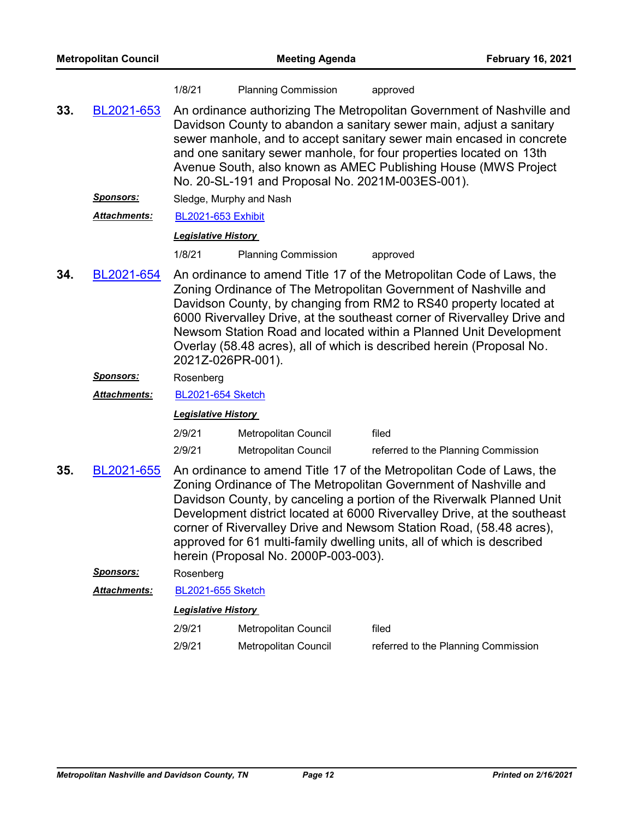| <b>Metropolitan Council</b> |                     | <b>Meeting Agenda</b>      |                                                                                                                                                                                                                                                                                                                                                                                                                                                                                        |                                     | <b>February 16, 2021</b> |
|-----------------------------|---------------------|----------------------------|----------------------------------------------------------------------------------------------------------------------------------------------------------------------------------------------------------------------------------------------------------------------------------------------------------------------------------------------------------------------------------------------------------------------------------------------------------------------------------------|-------------------------------------|--------------------------|
|                             |                     | 1/8/21                     | <b>Planning Commission</b>                                                                                                                                                                                                                                                                                                                                                                                                                                                             | approved                            |                          |
| 33.                         | BL2021-653          |                            | An ordinance authorizing The Metropolitan Government of Nashville and<br>Davidson County to abandon a sanitary sewer main, adjust a sanitary<br>sewer manhole, and to accept sanitary sewer main encased in concrete<br>and one sanitary sewer manhole, for four properties located on 13th<br>Avenue South, also known as AMEC Publishing House (MWS Project<br>No. 20-SL-191 and Proposal No. 2021M-003ES-001).                                                                      |                                     |                          |
|                             | Sponsors:           |                            | Sledge, Murphy and Nash                                                                                                                                                                                                                                                                                                                                                                                                                                                                |                                     |                          |
|                             | <b>Attachments:</b> | <b>BL2021-653 Exhibit</b>  |                                                                                                                                                                                                                                                                                                                                                                                                                                                                                        |                                     |                          |
|                             |                     | <b>Legislative History</b> |                                                                                                                                                                                                                                                                                                                                                                                                                                                                                        |                                     |                          |
|                             |                     | 1/8/21                     | <b>Planning Commission</b>                                                                                                                                                                                                                                                                                                                                                                                                                                                             | approved                            |                          |
| 34.                         | BL2021-654          |                            | An ordinance to amend Title 17 of the Metropolitan Code of Laws, the<br>Zoning Ordinance of The Metropolitan Government of Nashville and<br>Davidson County, by changing from RM2 to RS40 property located at<br>6000 Rivervalley Drive, at the southeast corner of Rivervalley Drive and<br>Newsom Station Road and located within a Planned Unit Development<br>Overlay (58.48 acres), all of which is described herein (Proposal No.<br>2021Z-026PR-001).                           |                                     |                          |
|                             | Sponsors:           | Rosenberg                  |                                                                                                                                                                                                                                                                                                                                                                                                                                                                                        |                                     |                          |
|                             | Attachments:        | <b>BL2021-654 Sketch</b>   |                                                                                                                                                                                                                                                                                                                                                                                                                                                                                        |                                     |                          |
|                             |                     | <b>Legislative History</b> |                                                                                                                                                                                                                                                                                                                                                                                                                                                                                        |                                     |                          |
|                             |                     | 2/9/21                     | Metropolitan Council                                                                                                                                                                                                                                                                                                                                                                                                                                                                   | filed                               |                          |
|                             |                     | 2/9/21                     | <b>Metropolitan Council</b>                                                                                                                                                                                                                                                                                                                                                                                                                                                            | referred to the Planning Commission |                          |
| 35.                         | BL2021-655          |                            | An ordinance to amend Title 17 of the Metropolitan Code of Laws, the<br>Zoning Ordinance of The Metropolitan Government of Nashville and<br>Davidson County, by canceling a portion of the Riverwalk Planned Unit<br>Development district located at 6000 Rivervalley Drive, at the southeast<br>corner of Rivervalley Drive and Newsom Station Road, (58.48 acres),<br>approved for 61 multi-family dwelling units, all of which is described<br>herein (Proposal No. 2000P-003-003). |                                     |                          |
|                             | <b>Sponsors:</b>    | Rosenberg                  |                                                                                                                                                                                                                                                                                                                                                                                                                                                                                        |                                     |                          |
|                             | Attachments:        | <b>BL2021-655 Sketch</b>   |                                                                                                                                                                                                                                                                                                                                                                                                                                                                                        |                                     |                          |
|                             |                     | <b>Legislative History</b> |                                                                                                                                                                                                                                                                                                                                                                                                                                                                                        |                                     |                          |
|                             |                     | 2/9/21                     | Metropolitan Council                                                                                                                                                                                                                                                                                                                                                                                                                                                                   | filed                               |                          |
|                             |                     | 2/9/21                     | Metropolitan Council                                                                                                                                                                                                                                                                                                                                                                                                                                                                   | referred to the Planning Commission |                          |
|                             |                     |                            |                                                                                                                                                                                                                                                                                                                                                                                                                                                                                        |                                     |                          |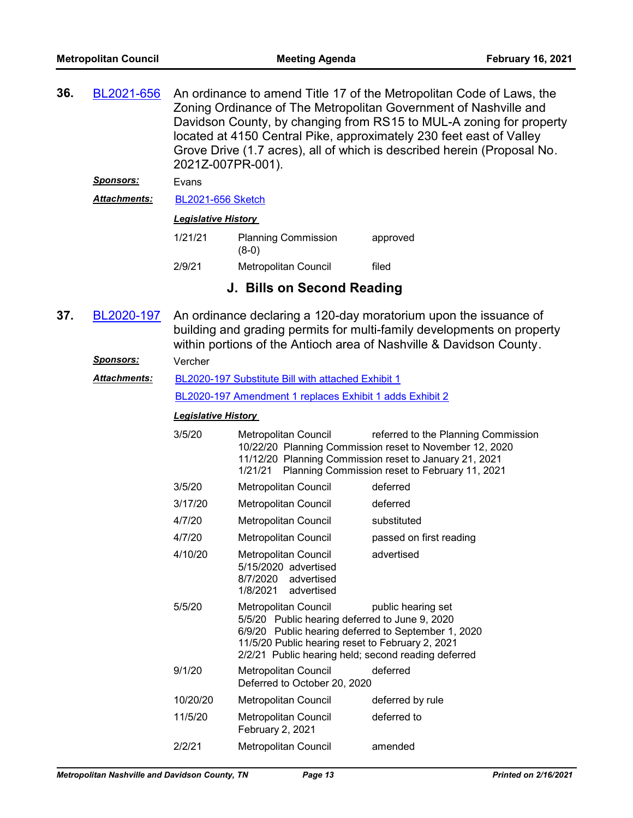An ordinance to amend Title 17 of the Metropolitan Code of Laws, the Zoning Ordinance of The Metropolitan Government of Nashville and Davidson County, by changing from RS15 to MUL-A zoning for property located at 4150 Central Pike, approximately 230 feet east of Valley Grove Drive (1.7 acres), all of which is described herein (Proposal No. 2021Z-007PR-001). **36.** [BL2021-656](http://nashville.legistar.com/gateway.aspx?m=l&id=/matter.aspx?key=1858)

# *Sponsors:* Evans

*Attachments:* [BL2021-656 Sketch](http://nashville.legistar.com/gateway.aspx?M=F&ID=bc10adc5-b395-4925-b675-2dd5d0445480.docx)

#### *Legislative History*

| 1/21/21 | <b>Planning Commission</b><br>$(8-0)$ | approved |
|---------|---------------------------------------|----------|
| 2/9/21  | Metropolitan Council                  | filed    |

# **J. Bills on Second Reading**

An ordinance declaring a 120-day moratorium upon the issuance of building and grading permits for multi-family developments on property within portions of the Antioch area of Nashville & Davidson County. **37.** [BL2020-197](http://nashville.legistar.com/gateway.aspx?m=l&id=/matter.aspx?key=1300)

#### *Sponsors:* Vercher

[BL2020-197 Substitute Bill with attached Exhibit 1](http://nashville.legistar.com/gateway.aspx?M=F&ID=b99ebefd-a3e8-4c5c-94d5-3ee9e6bfbbc8.docx) [BL2020-197 Amendment 1 replaces Exhibit 1 adds Exhibit 2](http://nashville.legistar.com/gateway.aspx?M=F&ID=d97ae315-2e05-4509-9af4-5d7937a9ac85.docx) *Attachments:*

| 3/5/20   | Metropolitan Council<br>1/21/21                                                                                                                                                                                                          | referred to the Planning Commission<br>10/22/20 Planning Commission reset to November 12, 2020<br>11/12/20 Planning Commission reset to January 21, 2021<br>Planning Commission reset to February 11, 2021 |
|----------|------------------------------------------------------------------------------------------------------------------------------------------------------------------------------------------------------------------------------------------|------------------------------------------------------------------------------------------------------------------------------------------------------------------------------------------------------------|
| 3/5/20   | Metropolitan Council                                                                                                                                                                                                                     | deferred                                                                                                                                                                                                   |
| 3/17/20  | Metropolitan Council                                                                                                                                                                                                                     | deferred                                                                                                                                                                                                   |
| 4/7/20   | Metropolitan Council                                                                                                                                                                                                                     | substituted                                                                                                                                                                                                |
| 4/7/20   | Metropolitan Council                                                                                                                                                                                                                     | passed on first reading                                                                                                                                                                                    |
| 4/10/20  | Metropolitan Council<br>5/15/2020 advertised<br>8/7/2020 advertised<br>1/8/2021 advertised                                                                                                                                               | advertised                                                                                                                                                                                                 |
| 5/5/20   | Metropolitan Council<br>5/5/20 Public hearing deferred to June 9, 2020<br>6/9/20 Public hearing deferred to September 1, 2020<br>11/5/20 Public hearing reset to February 2, 2021<br>2/2/21 Public hearing held; second reading deferred | public hearing set                                                                                                                                                                                         |
| 9/1/20   | Metropolitan Council<br>Deferred to October 20, 2020                                                                                                                                                                                     | deferred                                                                                                                                                                                                   |
| 10/20/20 | Metropolitan Council                                                                                                                                                                                                                     | deferred by rule                                                                                                                                                                                           |
| 11/5/20  | Metropolitan Council<br>February 2, 2021                                                                                                                                                                                                 | deferred to                                                                                                                                                                                                |
| 2/2/21   | Metropolitan Council                                                                                                                                                                                                                     | amended                                                                                                                                                                                                    |
|          |                                                                                                                                                                                                                                          |                                                                                                                                                                                                            |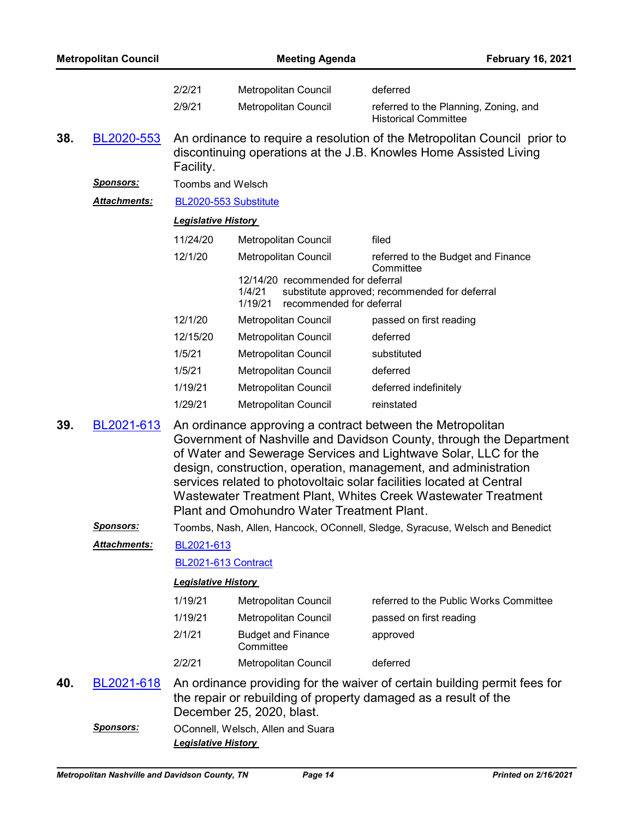| <b>Metropolitan Council</b> |                     | <b>Meeting Agenda</b>                                                                                                                                                                                                                                                                                                                                                                                                                                          |                                                                                                                                                |                                                               |  | <b>February 16, 2021</b>                                                                                                                     |  |
|-----------------------------|---------------------|----------------------------------------------------------------------------------------------------------------------------------------------------------------------------------------------------------------------------------------------------------------------------------------------------------------------------------------------------------------------------------------------------------------------------------------------------------------|------------------------------------------------------------------------------------------------------------------------------------------------|---------------------------------------------------------------|--|----------------------------------------------------------------------------------------------------------------------------------------------|--|
|                             |                     | 2/2/21                                                                                                                                                                                                                                                                                                                                                                                                                                                         |                                                                                                                                                | Metropolitan Council                                          |  | deferred                                                                                                                                     |  |
|                             |                     | 2/9/21                                                                                                                                                                                                                                                                                                                                                                                                                                                         |                                                                                                                                                | Metropolitan Council                                          |  | referred to the Planning, Zoning, and<br><b>Historical Committee</b>                                                                         |  |
| 38.                         | BL2020-553          | Facility.                                                                                                                                                                                                                                                                                                                                                                                                                                                      | An ordinance to require a resolution of the Metropolitan Council prior to<br>discontinuing operations at the J.B. Knowles Home Assisted Living |                                                               |  |                                                                                                                                              |  |
|                             | <u>Sponsors:</u>    | <b>Toombs and Welsch</b>                                                                                                                                                                                                                                                                                                                                                                                                                                       |                                                                                                                                                |                                                               |  |                                                                                                                                              |  |
|                             | Attachments:        | BL2020-553 Substitute                                                                                                                                                                                                                                                                                                                                                                                                                                          |                                                                                                                                                |                                                               |  |                                                                                                                                              |  |
|                             |                     | <b>Legislative History</b>                                                                                                                                                                                                                                                                                                                                                                                                                                     |                                                                                                                                                |                                                               |  |                                                                                                                                              |  |
|                             |                     | 11/24/20                                                                                                                                                                                                                                                                                                                                                                                                                                                       |                                                                                                                                                | Metropolitan Council                                          |  | filed                                                                                                                                        |  |
|                             |                     | 12/1/20                                                                                                                                                                                                                                                                                                                                                                                                                                                        |                                                                                                                                                | Metropolitan Council                                          |  | referred to the Budget and Finance<br>Committee                                                                                              |  |
|                             |                     |                                                                                                                                                                                                                                                                                                                                                                                                                                                                | 1/4/21<br>1/19/21                                                                                                                              | 12/14/20 recommended for deferral<br>recommended for deferral |  | substitute approved; recommended for deferral                                                                                                |  |
|                             |                     | 12/1/20                                                                                                                                                                                                                                                                                                                                                                                                                                                        |                                                                                                                                                | Metropolitan Council                                          |  | passed on first reading                                                                                                                      |  |
|                             |                     | 12/15/20                                                                                                                                                                                                                                                                                                                                                                                                                                                       |                                                                                                                                                | Metropolitan Council                                          |  | deferred                                                                                                                                     |  |
|                             |                     | 1/5/21                                                                                                                                                                                                                                                                                                                                                                                                                                                         |                                                                                                                                                | Metropolitan Council                                          |  | substituted                                                                                                                                  |  |
|                             |                     | 1/5/21                                                                                                                                                                                                                                                                                                                                                                                                                                                         |                                                                                                                                                | Metropolitan Council                                          |  | deferred                                                                                                                                     |  |
|                             |                     | 1/19/21                                                                                                                                                                                                                                                                                                                                                                                                                                                        |                                                                                                                                                | Metropolitan Council                                          |  | deferred indefinitely                                                                                                                        |  |
|                             |                     | 1/29/21                                                                                                                                                                                                                                                                                                                                                                                                                                                        |                                                                                                                                                | Metropolitan Council                                          |  | reinstated                                                                                                                                   |  |
| 39.                         | BL2021-613          | An ordinance approving a contract between the Metropolitan<br>Government of Nashville and Davidson County, through the Department<br>of Water and Sewerage Services and Lightwave Solar, LLC for the<br>design, construction, operation, management, and administration<br>services related to photovoltaic solar facilities located at Central<br>Wastewater Treatment Plant, Whites Creek Wastewater Treatment<br>Plant and Omohundro Water Treatment Plant. |                                                                                                                                                |                                                               |  |                                                                                                                                              |  |
|                             | <u>Sponsors:</u>    | Toombs, Nash, Allen, Hancock, OConnell, Sledge, Syracuse, Welsch and Benedict                                                                                                                                                                                                                                                                                                                                                                                  |                                                                                                                                                |                                                               |  |                                                                                                                                              |  |
|                             | <b>Attachments:</b> | BL2021-613                                                                                                                                                                                                                                                                                                                                                                                                                                                     |                                                                                                                                                |                                                               |  |                                                                                                                                              |  |
|                             |                     | BL2021-613 Contract                                                                                                                                                                                                                                                                                                                                                                                                                                            |                                                                                                                                                |                                                               |  |                                                                                                                                              |  |
|                             |                     | <b>Legislative History</b>                                                                                                                                                                                                                                                                                                                                                                                                                                     |                                                                                                                                                |                                                               |  |                                                                                                                                              |  |
|                             |                     | 1/19/21                                                                                                                                                                                                                                                                                                                                                                                                                                                        |                                                                                                                                                | Metropolitan Council                                          |  | referred to the Public Works Committee                                                                                                       |  |
|                             |                     | 1/19/21                                                                                                                                                                                                                                                                                                                                                                                                                                                        |                                                                                                                                                | Metropolitan Council                                          |  | passed on first reading                                                                                                                      |  |
|                             |                     | 2/1/21                                                                                                                                                                                                                                                                                                                                                                                                                                                         | Committee                                                                                                                                      | <b>Budget and Finance</b>                                     |  | approved                                                                                                                                     |  |
|                             |                     | 2/2/21                                                                                                                                                                                                                                                                                                                                                                                                                                                         |                                                                                                                                                | Metropolitan Council                                          |  | deferred                                                                                                                                     |  |
| 40.                         | BL2021-618          | December 25, 2020, blast.                                                                                                                                                                                                                                                                                                                                                                                                                                      |                                                                                                                                                |                                                               |  | An ordinance providing for the waiver of certain building permit fees for<br>the repair or rebuilding of property damaged as a result of the |  |
|                             | <b>Sponsors:</b>    | <b>Legislative History</b>                                                                                                                                                                                                                                                                                                                                                                                                                                     |                                                                                                                                                | OConnell, Welsch, Allen and Suara                             |  |                                                                                                                                              |  |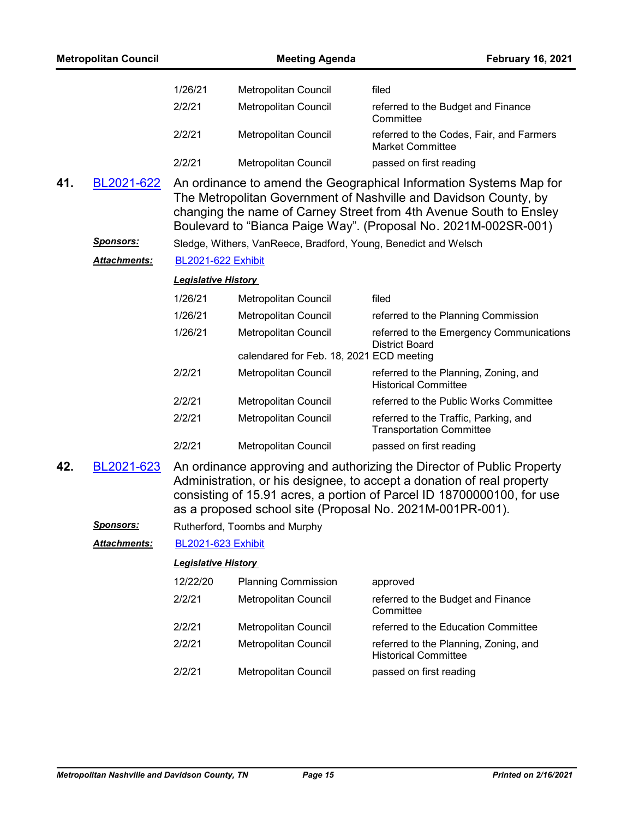|     | <b>Metropolitan Council</b> |                            | <b>Meeting Agenda</b>                                            | <b>February 16, 2021</b>                                                                                                                                                                                                                                                                |
|-----|-----------------------------|----------------------------|------------------------------------------------------------------|-----------------------------------------------------------------------------------------------------------------------------------------------------------------------------------------------------------------------------------------------------------------------------------------|
|     |                             | 1/26/21                    | Metropolitan Council                                             | filed                                                                                                                                                                                                                                                                                   |
|     |                             | 2/2/21                     | Metropolitan Council                                             | referred to the Budget and Finance<br>Committee                                                                                                                                                                                                                                         |
|     |                             | 2/2/21                     | Metropolitan Council                                             | referred to the Codes, Fair, and Farmers<br><b>Market Committee</b>                                                                                                                                                                                                                     |
|     |                             | 2/2/21                     | Metropolitan Council                                             | passed on first reading                                                                                                                                                                                                                                                                 |
| 41. | BL2021-622                  |                            |                                                                  | An ordinance to amend the Geographical Information Systems Map for<br>The Metropolitan Government of Nashville and Davidson County, by<br>changing the name of Carney Street from 4th Avenue South to Ensley<br>Boulevard to "Bianca Paige Way". (Proposal No. 2021M-002SR-001)         |
|     | <u>Sponsors:</u>            |                            | Sledge, Withers, VanReece, Bradford, Young, Benedict and Welsch  |                                                                                                                                                                                                                                                                                         |
|     | <u> Attachments:</u>        | <b>BL2021-622 Exhibit</b>  |                                                                  |                                                                                                                                                                                                                                                                                         |
|     |                             | <b>Legislative History</b> |                                                                  |                                                                                                                                                                                                                                                                                         |
|     |                             | 1/26/21                    | Metropolitan Council                                             | filed                                                                                                                                                                                                                                                                                   |
|     |                             | 1/26/21                    | Metropolitan Council                                             | referred to the Planning Commission                                                                                                                                                                                                                                                     |
|     |                             | 1/26/21                    | Metropolitan Council<br>calendared for Feb. 18, 2021 ECD meeting | referred to the Emergency Communications<br><b>District Board</b>                                                                                                                                                                                                                       |
|     |                             | 2/2/21                     | Metropolitan Council                                             | referred to the Planning, Zoning, and                                                                                                                                                                                                                                                   |
|     |                             |                            |                                                                  | <b>Historical Committee</b>                                                                                                                                                                                                                                                             |
|     |                             | 2/2/21                     | Metropolitan Council                                             | referred to the Public Works Committee                                                                                                                                                                                                                                                  |
|     |                             | 2/2/21                     | Metropolitan Council                                             | referred to the Traffic, Parking, and<br><b>Transportation Committee</b>                                                                                                                                                                                                                |
|     |                             | 2/2/21                     | Metropolitan Council                                             | passed on first reading                                                                                                                                                                                                                                                                 |
| 42. | BL2021-623                  |                            |                                                                  | An ordinance approving and authorizing the Director of Public Property<br>Administration, or his designee, to accept a donation of real property<br>consisting of 15.91 acres, a portion of Parcel ID 18700000100, for use<br>as a proposed school site (Proposal No. 2021M-001PR-001). |
|     | <u>Sponsors:</u>            |                            | Rutherford, Toombs and Murphy                                    |                                                                                                                                                                                                                                                                                         |
|     | Attachments:                | BL2021-623 Exhibit         |                                                                  |                                                                                                                                                                                                                                                                                         |
|     |                             | <b>Legislative History</b> |                                                                  |                                                                                                                                                                                                                                                                                         |
|     |                             | 12/22/20                   | <b>Planning Commission</b>                                       | approved                                                                                                                                                                                                                                                                                |
|     |                             | 2/2/21                     | Metropolitan Council                                             | referred to the Budget and Finance<br>Committee                                                                                                                                                                                                                                         |
|     |                             | 2/2/21                     | Metropolitan Council                                             | referred to the Education Committee                                                                                                                                                                                                                                                     |
|     |                             | 2/2/21                     | Metropolitan Council                                             | referred to the Planning, Zoning, and<br><b>Historical Committee</b>                                                                                                                                                                                                                    |
|     |                             | 2/2/21                     | Metropolitan Council                                             | passed on first reading                                                                                                                                                                                                                                                                 |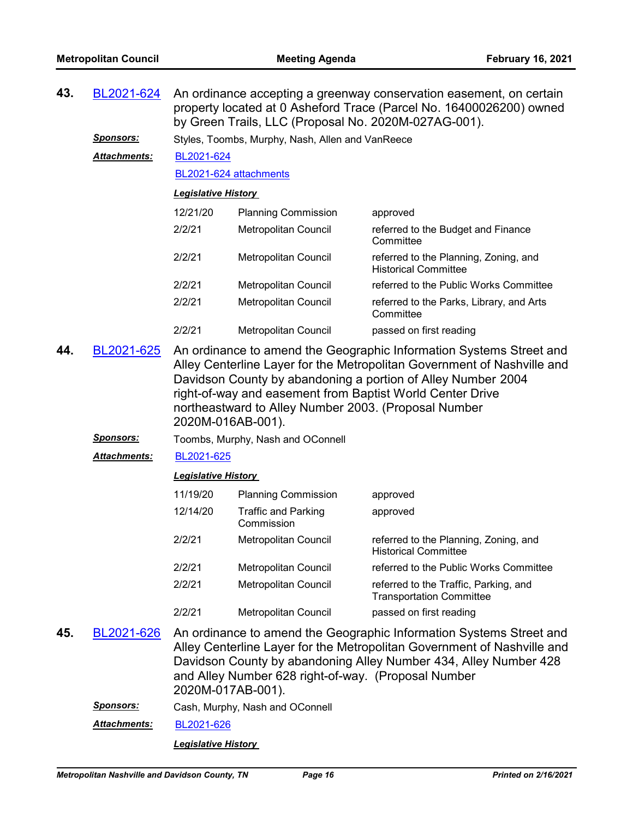| 43. | BL2021-624                                  | An ordinance accepting a greenway conservation easement, on certain<br>property located at 0 Asheford Trace (Parcel No. 16400026200) owned<br>by Green Trails, LLC (Proposal No. 2020M-027AG-001).                                                                                                                                                       |                                                                                                           |                                                                                                                                                                                                                    |  |  |
|-----|---------------------------------------------|----------------------------------------------------------------------------------------------------------------------------------------------------------------------------------------------------------------------------------------------------------------------------------------------------------------------------------------------------------|-----------------------------------------------------------------------------------------------------------|--------------------------------------------------------------------------------------------------------------------------------------------------------------------------------------------------------------------|--|--|
|     | <u>Sponsors:</u>                            | Styles, Toombs, Murphy, Nash, Allen and VanReece                                                                                                                                                                                                                                                                                                         |                                                                                                           |                                                                                                                                                                                                                    |  |  |
|     | Attachments:                                | BL2021-624                                                                                                                                                                                                                                                                                                                                               |                                                                                                           |                                                                                                                                                                                                                    |  |  |
|     |                                             | BL2021-624 attachments                                                                                                                                                                                                                                                                                                                                   |                                                                                                           |                                                                                                                                                                                                                    |  |  |
|     |                                             | <b>Legislative History</b>                                                                                                                                                                                                                                                                                                                               |                                                                                                           |                                                                                                                                                                                                                    |  |  |
|     |                                             | 12/21/20                                                                                                                                                                                                                                                                                                                                                 | <b>Planning Commission</b>                                                                                | approved                                                                                                                                                                                                           |  |  |
|     |                                             | 2/2/21                                                                                                                                                                                                                                                                                                                                                   | Metropolitan Council                                                                                      | referred to the Budget and Finance<br>Committee                                                                                                                                                                    |  |  |
|     |                                             | 2/2/21                                                                                                                                                                                                                                                                                                                                                   | Metropolitan Council                                                                                      | referred to the Planning, Zoning, and<br><b>Historical Committee</b>                                                                                                                                               |  |  |
|     |                                             | 2/2/21                                                                                                                                                                                                                                                                                                                                                   | Metropolitan Council                                                                                      | referred to the Public Works Committee                                                                                                                                                                             |  |  |
|     |                                             | 2/2/21                                                                                                                                                                                                                                                                                                                                                   | Metropolitan Council                                                                                      | referred to the Parks, Library, and Arts<br>Committee                                                                                                                                                              |  |  |
|     |                                             | 2/2/21                                                                                                                                                                                                                                                                                                                                                   | Metropolitan Council                                                                                      | passed on first reading                                                                                                                                                                                            |  |  |
| 44. | BL2021-625                                  | An ordinance to amend the Geographic Information Systems Street and<br>Alley Centerline Layer for the Metropolitan Government of Nashville and<br>Davidson County by abandoning a portion of Alley Number 2004<br>right-of-way and easement from Baptist World Center Drive<br>northeastward to Alley Number 2003. (Proposal Number<br>2020M-016AB-001). |                                                                                                           |                                                                                                                                                                                                                    |  |  |
|     | <u>Sponsors:</u>                            | Toombs, Murphy, Nash and OConnell                                                                                                                                                                                                                                                                                                                        |                                                                                                           |                                                                                                                                                                                                                    |  |  |
|     | Attachments:                                | BL2021-625                                                                                                                                                                                                                                                                                                                                               |                                                                                                           |                                                                                                                                                                                                                    |  |  |
|     |                                             | <b>Legislative History</b>                                                                                                                                                                                                                                                                                                                               |                                                                                                           |                                                                                                                                                                                                                    |  |  |
|     |                                             | 11/19/20                                                                                                                                                                                                                                                                                                                                                 | <b>Planning Commission</b>                                                                                | approved                                                                                                                                                                                                           |  |  |
|     |                                             | 12/14/20                                                                                                                                                                                                                                                                                                                                                 | <b>Traffic and Parking</b><br>Commission                                                                  | approved                                                                                                                                                                                                           |  |  |
|     |                                             | 2/2/21                                                                                                                                                                                                                                                                                                                                                   | Metropolitan Council                                                                                      | referred to the Planning, Zoning, and<br><b>Historical Committee</b>                                                                                                                                               |  |  |
|     |                                             | 2/2/21                                                                                                                                                                                                                                                                                                                                                   | Metropolitan Council                                                                                      | referred to the Public Works Committee                                                                                                                                                                             |  |  |
|     |                                             | 2/2/21                                                                                                                                                                                                                                                                                                                                                   | Metropolitan Council                                                                                      | referred to the Traffic, Parking, and<br><b>Transportation Committee</b>                                                                                                                                           |  |  |
|     |                                             | 2/2/21                                                                                                                                                                                                                                                                                                                                                   | Metropolitan Council                                                                                      | passed on first reading                                                                                                                                                                                            |  |  |
| 45. | BL2021-626<br><b><i><u>Cnoncore</u></i></b> | 2020M-017AB-001).                                                                                                                                                                                                                                                                                                                                        | and Alley Number 628 right-of-way. (Proposal Number<br>$\mathsf{A}$ Music Neal and $\mathsf{A}\mathsf{C}$ | An ordinance to amend the Geographic Information Systems Street and<br>Alley Centerline Layer for the Metropolitan Government of Nashville and<br>Davidson County by abandoning Alley Number 434, Alley Number 428 |  |  |

*Sponsors:* Cash, Murphy, Nash and OConnell

*Attachments:* [BL2021-626](http://nashville.legistar.com/gateway.aspx?M=F&ID=a4c5d3b8-d2d6-4b63-8f35-5b912ab8cd14.DOCX)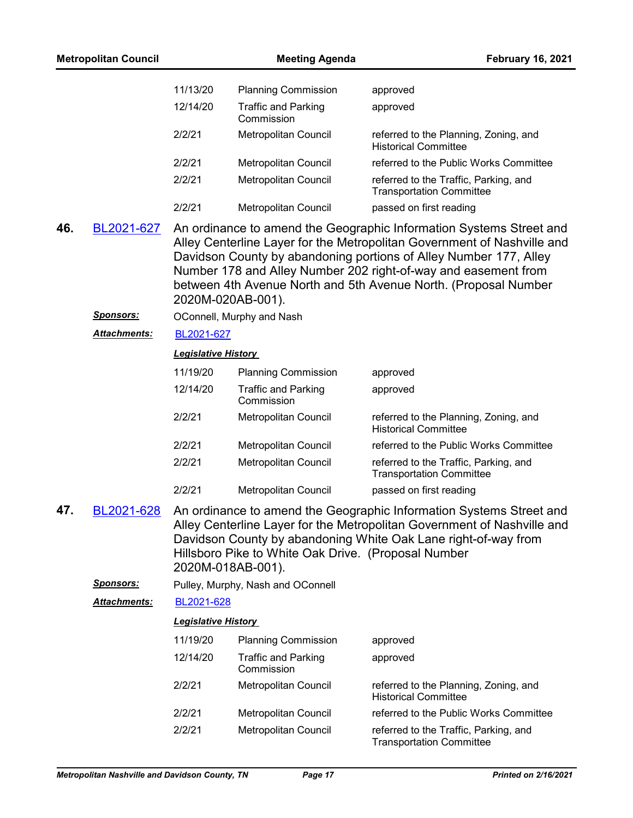| <b>Metropolitan Council</b> |                      |                            | <b>Meeting Agenda</b><br><b>February 16, 2021</b>                        |                                                                                                                                                                                                                                                                                                                                                          |
|-----------------------------|----------------------|----------------------------|--------------------------------------------------------------------------|----------------------------------------------------------------------------------------------------------------------------------------------------------------------------------------------------------------------------------------------------------------------------------------------------------------------------------------------------------|
|                             |                      | 11/13/20                   | <b>Planning Commission</b>                                               | approved                                                                                                                                                                                                                                                                                                                                                 |
|                             |                      | 12/14/20                   | <b>Traffic and Parking</b><br>Commission                                 | approved                                                                                                                                                                                                                                                                                                                                                 |
|                             |                      | 2/2/21                     | Metropolitan Council                                                     | referred to the Planning, Zoning, and<br><b>Historical Committee</b>                                                                                                                                                                                                                                                                                     |
|                             |                      | 2/2/21                     | Metropolitan Council                                                     | referred to the Public Works Committee                                                                                                                                                                                                                                                                                                                   |
|                             |                      | 2/2/21                     | Metropolitan Council                                                     | referred to the Traffic, Parking, and<br><b>Transportation Committee</b>                                                                                                                                                                                                                                                                                 |
|                             |                      | 2/2/21                     | Metropolitan Council                                                     | passed on first reading                                                                                                                                                                                                                                                                                                                                  |
| 46.                         | BL2021-627           |                            | 2020M-020AB-001).                                                        | An ordinance to amend the Geographic Information Systems Street and<br>Alley Centerline Layer for the Metropolitan Government of Nashville and<br>Davidson County by abandoning portions of Alley Number 177, Alley<br>Number 178 and Alley Number 202 right-of-way and easement from<br>between 4th Avenue North and 5th Avenue North. (Proposal Number |
|                             | <u>Sponsors:</u>     |                            | OConnell, Murphy and Nash                                                |                                                                                                                                                                                                                                                                                                                                                          |
|                             | <b>Attachments:</b>  | BL2021-627                 |                                                                          |                                                                                                                                                                                                                                                                                                                                                          |
|                             |                      | <b>Legislative History</b> |                                                                          |                                                                                                                                                                                                                                                                                                                                                          |
|                             |                      | 11/19/20                   | <b>Planning Commission</b>                                               | approved                                                                                                                                                                                                                                                                                                                                                 |
|                             |                      | 12/14/20                   | <b>Traffic and Parking</b><br>Commission                                 | approved                                                                                                                                                                                                                                                                                                                                                 |
|                             |                      | 2/2/21                     | Metropolitan Council                                                     | referred to the Planning, Zoning, and<br><b>Historical Committee</b>                                                                                                                                                                                                                                                                                     |
|                             |                      | 2/2/21                     | Metropolitan Council                                                     | referred to the Public Works Committee                                                                                                                                                                                                                                                                                                                   |
|                             |                      | 2/2/21                     | Metropolitan Council                                                     | referred to the Traffic, Parking, and<br><b>Transportation Committee</b>                                                                                                                                                                                                                                                                                 |
|                             |                      | 2/2/21                     | Metropolitan Council                                                     | passed on first reading                                                                                                                                                                                                                                                                                                                                  |
| 47                          | <u>BL2021-628</u>    |                            | Hillsboro Pike to White Oak Drive. (Proposal Number<br>2020M-018AB-001). | An ordinance to amend the Geographic Information Systems Street and<br>Alley Centerline Layer for the Metropolitan Government of Nashville and<br>Davidson County by abandoning White Oak Lane right-of-way from                                                                                                                                         |
|                             | <u>Sponsors:</u>     |                            | Pulley, Murphy, Nash and OConnell                                        |                                                                                                                                                                                                                                                                                                                                                          |
|                             | <u> Attachments:</u> | BL2021-628                 |                                                                          |                                                                                                                                                                                                                                                                                                                                                          |
|                             |                      | <b>Legislative History</b> |                                                                          |                                                                                                                                                                                                                                                                                                                                                          |
|                             |                      | 11/19/20                   | <b>Planning Commission</b>                                               | approved                                                                                                                                                                                                                                                                                                                                                 |
|                             |                      | 12/14/20                   | Traffic and Parking<br>Commission                                        | approved                                                                                                                                                                                                                                                                                                                                                 |
|                             |                      | 2/2/21                     | Metropolitan Council                                                     | referred to the Planning, Zoning, and<br><b>Historical Committee</b>                                                                                                                                                                                                                                                                                     |
|                             |                      | 2/2/21                     | Metropolitan Council                                                     | referred to the Public Works Committee                                                                                                                                                                                                                                                                                                                   |
|                             |                      | 2/2/21                     | Metropolitan Council                                                     | referred to the Traffic, Parking, and<br><b>Transportation Committee</b>                                                                                                                                                                                                                                                                                 |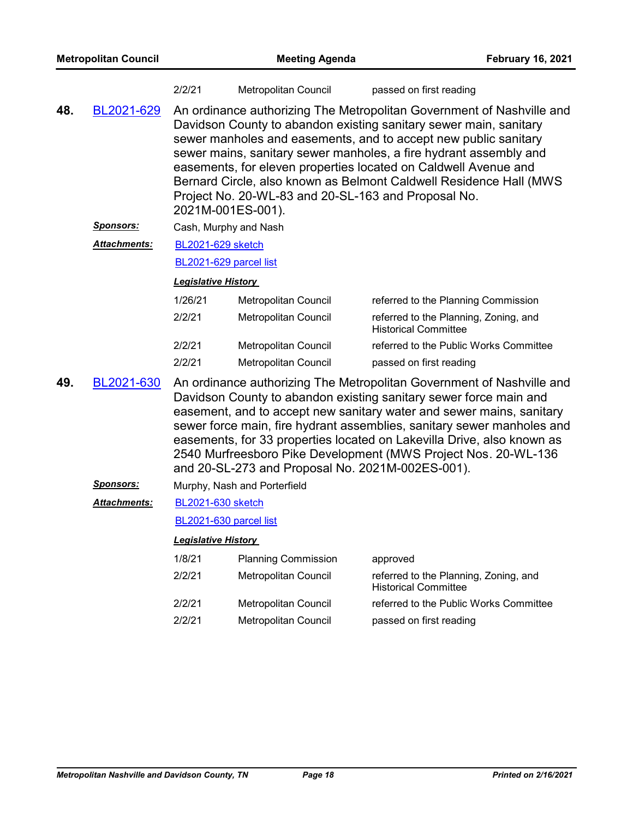| 2/2/21 | Metropolitan Council | passed on first reading |
|--------|----------------------|-------------------------|
|--------|----------------------|-------------------------|

- An ordinance authorizing The Metropolitan Government of Nashville and Davidson County to abandon existing sanitary sewer main, sanitary sewer manholes and easements, and to accept new public sanitary sewer mains, sanitary sewer manholes, a fire hydrant assembly and easements, for eleven properties located on Caldwell Avenue and Bernard Circle, also known as Belmont Caldwell Residence Hall (MWS Project No. 20-WL-83 and 20-SL-163 and Proposal No. 2021M-001ES-001). **48.** [BL2021-629](http://nashville.legistar.com/gateway.aspx?m=l&id=/matter.aspx?key=1857)
	- *Sponsors:* Cash, Murphy and Nash
	- [BL2021-629 sketch](http://nashville.legistar.com/gateway.aspx?M=F&ID=5d125281-2914-4bf5-afb2-c31a0ff8192b.PDF) *Attachments:*

[BL2021-629 parcel list](http://nashville.legistar.com/gateway.aspx?M=F&ID=bc8f910f-c25d-4cfb-922a-fc6e8b421a02.PDF)

#### *Legislative History*

| 1/26/21 | Metropolitan Council        | referred to the Planning Commission                                  |
|---------|-----------------------------|----------------------------------------------------------------------|
| 2/2/21  | Metropolitan Council        | referred to the Planning, Zoning, and<br><b>Historical Committee</b> |
| 2/2/21  | <b>Metropolitan Council</b> | referred to the Public Works Committee                               |
| 2/2/21  | <b>Metropolitan Council</b> | passed on first reading                                              |

- An ordinance authorizing The Metropolitan Government of Nashville and Davidson County to abandon existing sanitary sewer force main and easement, and to accept new sanitary water and sewer mains, sanitary sewer force main, fire hydrant assemblies, sanitary sewer manholes and easements, for 33 properties located on Lakevilla Drive, also known as 2540 Murfreesboro Pike Development (MWS Project Nos. 20-WL-136 and 20-SL-273 and Proposal No. 2021M-002ES-001). **49.** [BL2021-630](http://nashville.legistar.com/gateway.aspx?m=l&id=/matter.aspx?key=1859)
	- *Sponsors:* Murphy, Nash and Porterfield

#### [BL2021-630 sketch](http://nashville.legistar.com/gateway.aspx?M=F&ID=ae1747af-90b4-45d3-b171-587c4b91323b.PDF) *Attachments:*

#### [BL2021-630 parcel list](http://nashville.legistar.com/gateway.aspx?M=F&ID=0032f7b2-9d56-4cf1-a66e-87f5a414acd6.PDF)

| 1/8/21 | <b>Planning Commission</b>  | approved                                                             |
|--------|-----------------------------|----------------------------------------------------------------------|
| 2/2/21 | Metropolitan Council        | referred to the Planning, Zoning, and<br><b>Historical Committee</b> |
| 2/2/21 | <b>Metropolitan Council</b> | referred to the Public Works Committee                               |
| 2/2/21 | Metropolitan Council        | passed on first reading                                              |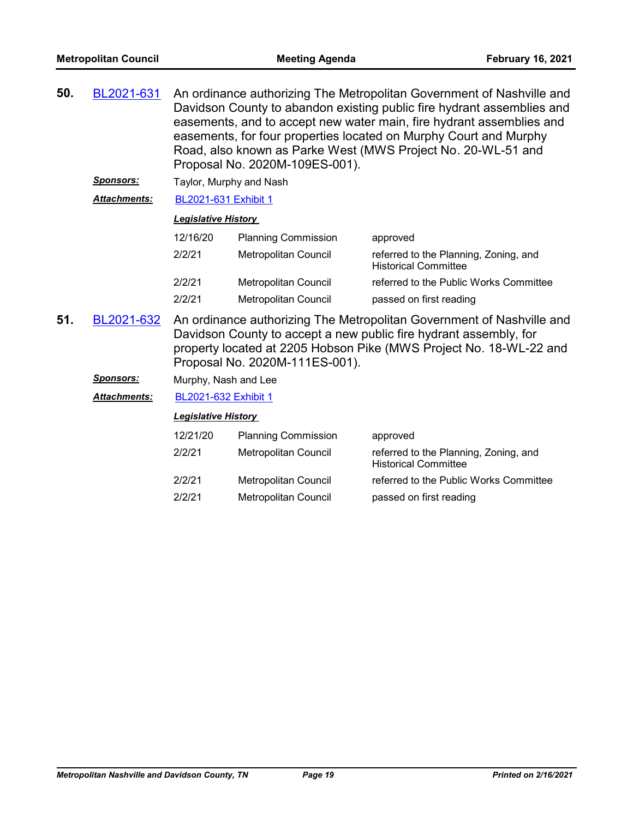| 50. | BL2021-631 | An ordinance authorizing The Metropolitan Government of Nashville and  |
|-----|------------|------------------------------------------------------------------------|
|     |            | Davidson County to abandon existing public fire hydrant assemblies and |
|     |            | easements, and to accept new water main, fire hydrant assemblies and   |
|     |            | easements, for four properties located on Murphy Court and Murphy      |
|     |            | Road, also known as Parke West (MWS Project No. 20-WL-51 and           |
|     |            | Proposal No. 2020M-109ES-001).                                         |

**Sponsors:** Taylor, Murphy and Nash

*Attachments:* [BL2021-631 Exhibit 1](http://nashville.legistar.com/gateway.aspx?M=F&ID=235916dd-aa8d-48cd-bc43-544f7bb14c6c.PDF)

# *Legislative History*

| 12/16/20 | <b>Planning Commission</b>  | approved                                                             |
|----------|-----------------------------|----------------------------------------------------------------------|
| 2/2/21   | Metropolitan Council        | referred to the Planning, Zoning, and<br><b>Historical Committee</b> |
| 2/2/21   | <b>Metropolitan Council</b> | referred to the Public Works Committee                               |
| 2/2/21   | <b>Metropolitan Council</b> | passed on first reading                                              |

An ordinance authorizing The Metropolitan Government of Nashville and Davidson County to accept a new public fire hydrant assembly, for property located at 2205 Hobson Pike (MWS Project No. 18-WL-22 and Proposal No. 2020M-111ES-001). **51.** [BL2021-632](http://nashville.legistar.com/gateway.aspx?m=l&id=/matter.aspx?key=1861)

*Sponsors:* Murphy, Nash and Lee

*Attachments:* [BL2021-632 Exhibit 1](http://nashville.legistar.com/gateway.aspx?M=F&ID=447be72d-74a1-4e8f-bd37-14e538de9bed.PDF)

| 12/21/20 | <b>Planning Commission</b>  | approved                                                             |
|----------|-----------------------------|----------------------------------------------------------------------|
| 2/2/21   | Metropolitan Council        | referred to the Planning, Zoning, and<br><b>Historical Committee</b> |
| 2/2/21   | <b>Metropolitan Council</b> | referred to the Public Works Committee                               |
| 2/2/21   | <b>Metropolitan Council</b> | passed on first reading                                              |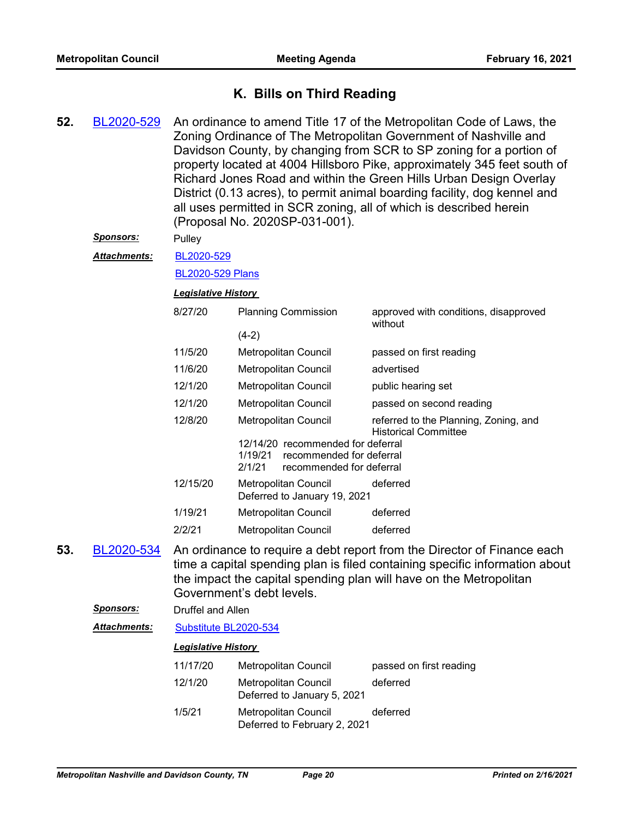# **K. Bills on Third Reading**

- An ordinance to amend Title 17 of the Metropolitan Code of Laws, the Zoning Ordinance of The Metropolitan Government of Nashville and Davidson County, by changing from SCR to SP zoning for a portion of property located at 4004 Hillsboro Pike, approximately 345 feet south of Richard Jones Road and within the Green Hills Urban Design Overlay District (0.13 acres), to permit animal boarding facility, dog kennel and all uses permitted in SCR zoning, all of which is described herein (Proposal No. 2020SP-031-001). **52.** [BL2020-529](http://nashville.legistar.com/gateway.aspx?m=l&id=/matter.aspx?key=1357) *Sponsors:* Pulley [BL2020-529](http://nashville.legistar.com/gateway.aspx?M=F&ID=da4332ae-bdcf-4f2f-91c3-56cbadee839d.pdf) [BL2020-529 Plans](http://nashville.legistar.com/gateway.aspx?M=F&ID=4b8c0f21-6bbb-4b4a-8b09-0f0b1ea13f48.pdf) *Attachments: Legislative History*  8/27/20 Planning Commission approved with conditions, disapproved without  $(4-2)$ 11/5/20 Metropolitan Council passed on first reading 11/6/20 Metropolitan Council advertised 12/1/20 Metropolitan Council public hearing set 12/1/20 Metropolitan Council passed on second reading 12/8/20 Metropolitan Council referred to the Planning, Zoning, and Historical Committee 12/14/20 recommended for deferral 1/19/21 recommended for deferral 2/1/21 recommended for deferral 12/15/20 Metropolitan Council deferred Deferred to January 19, 2021 1/19/21 Metropolitan Council deferred 2/2/21 Metropolitan Council deferred
- An ordinance to require a debt report from the Director of Finance each time a capital spending plan is filed containing specific information about the impact the capital spending plan will have on the Metropolitan Government's debt levels. **53.** [BL2020-534](http://nashville.legistar.com/gateway.aspx?m=l&id=/matter.aspx?key=1648)

| <b>Sponsors:</b><br>Druffel and Allen |                            |                                                             |                         |  |  |
|---------------------------------------|----------------------------|-------------------------------------------------------------|-------------------------|--|--|
| <b>Attachments:</b>                   | Substitute BL2020-534      |                                                             |                         |  |  |
|                                       | <b>Legislative History</b> |                                                             |                         |  |  |
|                                       | 11/17/20                   | Metropolitan Council                                        | passed on first reading |  |  |
|                                       | 12/1/20                    | Metropolitan Council<br>Deferred to January 5, 2021         | deferred                |  |  |
|                                       | 1/5/21                     | <b>Metropolitan Council</b><br>Deferred to February 2, 2021 | deferred                |  |  |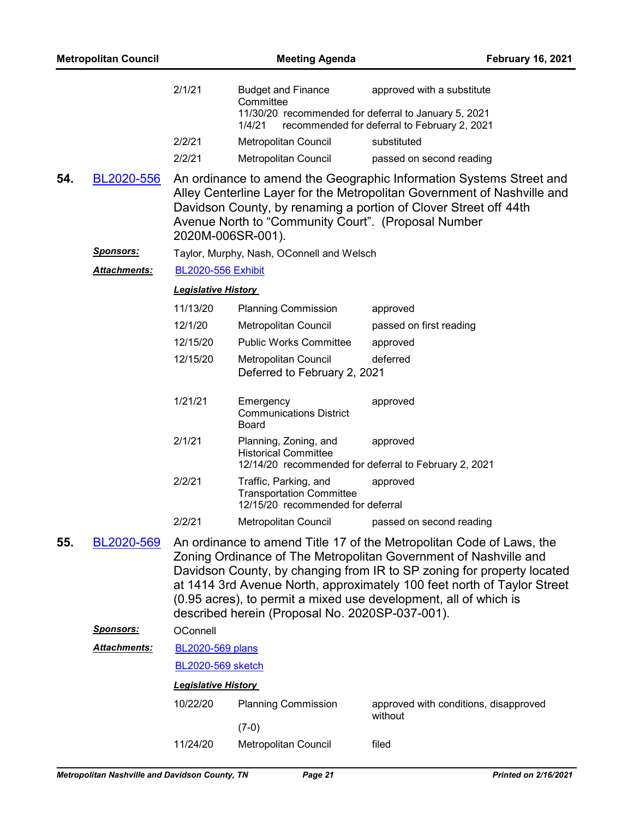|     |                     | 2/1/21                     | <b>Budget and Finance</b><br>Committee                                                                        | approved with a substitute                                                                                                                                                                                                                                                                                                                                        |
|-----|---------------------|----------------------------|---------------------------------------------------------------------------------------------------------------|-------------------------------------------------------------------------------------------------------------------------------------------------------------------------------------------------------------------------------------------------------------------------------------------------------------------------------------------------------------------|
|     |                     |                            | 11/30/20 recommended for deferral to January 5, 2021<br>1/4/21                                                | recommended for deferral to February 2, 2021                                                                                                                                                                                                                                                                                                                      |
|     |                     | 2/2/21                     | Metropolitan Council                                                                                          | substituted                                                                                                                                                                                                                                                                                                                                                       |
|     |                     | 2/2/21                     | Metropolitan Council                                                                                          | passed on second reading                                                                                                                                                                                                                                                                                                                                          |
| 54. | BL2020-556          | 2020M-006SR-001).          | Avenue North to "Community Court". (Proposal Number                                                           | An ordinance to amend the Geographic Information Systems Street and<br>Alley Centerline Layer for the Metropolitan Government of Nashville and<br>Davidson County, by renaming a portion of Clover Street off 44th                                                                                                                                                |
|     | <u>Sponsors:</u>    |                            | Taylor, Murphy, Nash, OConnell and Welsch                                                                     |                                                                                                                                                                                                                                                                                                                                                                   |
|     | Attachments:        | <b>BL2020-556 Exhibit</b>  |                                                                                                               |                                                                                                                                                                                                                                                                                                                                                                   |
|     |                     | <b>Legislative History</b> |                                                                                                               |                                                                                                                                                                                                                                                                                                                                                                   |
|     |                     | 11/13/20                   | <b>Planning Commission</b>                                                                                    | approved                                                                                                                                                                                                                                                                                                                                                          |
|     |                     | 12/1/20                    | Metropolitan Council                                                                                          | passed on first reading                                                                                                                                                                                                                                                                                                                                           |
|     |                     | 12/15/20                   | <b>Public Works Committee</b>                                                                                 | approved                                                                                                                                                                                                                                                                                                                                                          |
|     |                     | 12/15/20                   | Metropolitan Council<br>Deferred to February 2, 2021                                                          | deferred                                                                                                                                                                                                                                                                                                                                                          |
|     |                     | 1/21/21                    | Emergency<br><b>Communications District</b><br>Board                                                          | approved                                                                                                                                                                                                                                                                                                                                                          |
|     |                     | 2/1/21                     | Planning, Zoning, and<br><b>Historical Committee</b><br>12/14/20 recommended for deferral to February 2, 2021 | approved                                                                                                                                                                                                                                                                                                                                                          |
|     |                     | 2/2/21                     | Traffic, Parking, and<br><b>Transportation Committee</b><br>12/15/20 recommended for deferral                 | approved                                                                                                                                                                                                                                                                                                                                                          |
|     |                     | 2/2/21                     | Metropolitan Council                                                                                          | passed on second reading                                                                                                                                                                                                                                                                                                                                          |
| 55. | BL2020-569          |                            | described herein (Proposal No. 2020SP-037-001).                                                               | An ordinance to amend Title 17 of the Metropolitan Code of Laws, the<br>Zoning Ordinance of The Metropolitan Government of Nashville and<br>Davidson County, by changing from IR to SP zoning for property located<br>at 1414 3rd Avenue North, approximately 100 feet north of Taylor Street<br>(0.95 acres), to permit a mixed use development, all of which is |
|     | <b>Sponsors:</b>    | OConnell                   |                                                                                                               |                                                                                                                                                                                                                                                                                                                                                                   |
|     | <b>Attachments:</b> | <b>BL2020-569 plans</b>    |                                                                                                               |                                                                                                                                                                                                                                                                                                                                                                   |
|     |                     | <b>BL2020-569 sketch</b>   |                                                                                                               |                                                                                                                                                                                                                                                                                                                                                                   |
|     |                     | <b>Legislative History</b> |                                                                                                               |                                                                                                                                                                                                                                                                                                                                                                   |
|     |                     | 10/22/20                   | <b>Planning Commission</b>                                                                                    | approved with conditions, disapproved<br>without                                                                                                                                                                                                                                                                                                                  |
|     |                     |                            | $(7-0)$                                                                                                       |                                                                                                                                                                                                                                                                                                                                                                   |

11/24/20 Metropolitan Council filed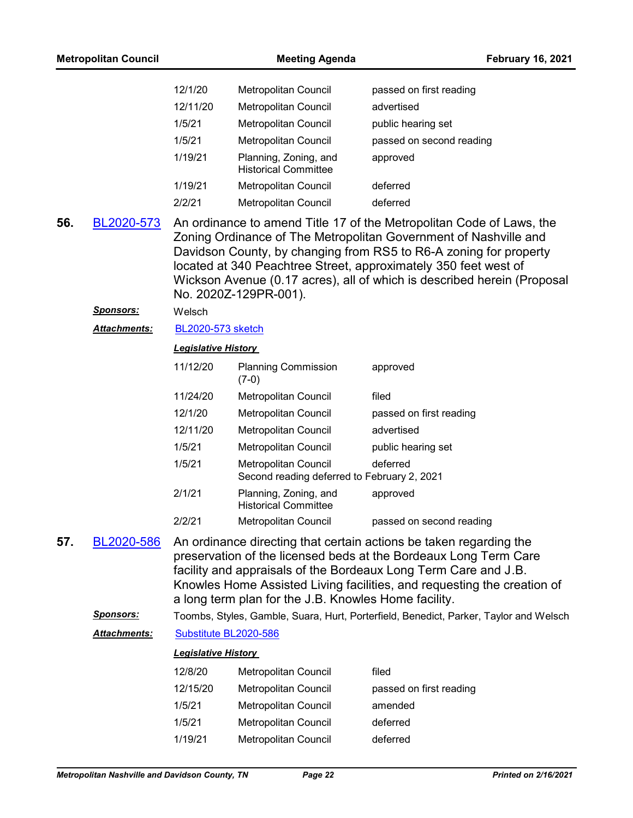| 12/1/20  | <b>Metropolitan Council</b>                          | passed on first reading  |
|----------|------------------------------------------------------|--------------------------|
| 12/11/20 | <b>Metropolitan Council</b>                          | advertised               |
| 1/5/21   | <b>Metropolitan Council</b>                          | public hearing set       |
| 1/5/21   | <b>Metropolitan Council</b>                          | passed on second reading |
| 1/19/21  | Planning, Zoning, and<br><b>Historical Committee</b> | approved                 |
| 1/19/21  | <b>Metropolitan Council</b>                          | deferred                 |
| 2/2/21   | Metropolitan Council                                 | deferred                 |

An ordinance to amend Title 17 of the Metropolitan Code of Laws, the Zoning Ordinance of The Metropolitan Government of Nashville and Davidson County, by changing from RS5 to R6-A zoning for property located at 340 Peachtree Street, approximately 350 feet west of Wickson Avenue (0.17 acres), all of which is described herein (Proposal No. 2020Z-129PR-001). **56.** [BL2020-573](http://nashville.legistar.com/gateway.aspx?m=l&id=/matter.aspx?key=1681)

#### *Sponsors:* Welsch

*Attachments:* [BL2020-573 sketch](http://nashville.legistar.com/gateway.aspx?M=F&ID=a0c84103-0d9b-47cc-831d-0eeceeecca0d.docx)

#### *Legislative History*

| 11/12/20 | <b>Planning Commission</b><br>(7-0)                                        | approved                 |
|----------|----------------------------------------------------------------------------|--------------------------|
| 11/24/20 | <b>Metropolitan Council</b>                                                | filed                    |
| 12/1/20  | <b>Metropolitan Council</b>                                                | passed on first reading  |
| 12/11/20 | <b>Metropolitan Council</b>                                                | advertised               |
| 1/5/21   | <b>Metropolitan Council</b>                                                | public hearing set       |
| 1/5/21   | <b>Metropolitan Council</b><br>Second reading deferred to February 2, 2021 | deferred                 |
| 2/1/21   | Planning, Zoning, and<br><b>Historical Committee</b>                       | approved                 |
| 2/2/21   | <b>Metropolitan Council</b>                                                | passed on second reading |

- An ordinance directing that certain actions be taken regarding the preservation of the licensed beds at the Bordeaux Long Term Care facility and appraisals of the Bordeaux Long Term Care and J.B. Knowles Home Assisted Living facilities, and requesting the creation of a long term plan for the J.B. Knowles Home facility. **57.** [BL2020-586](http://nashville.legistar.com/gateway.aspx?m=l&id=/matter.aspx?key=1746)
	- *Sponsors:* Toombs, Styles, Gamble, Suara, Hurt, Porterfield, Benedict, Parker, Taylor and Welsch

*Attachments:* [Substitute BL2020-586](http://nashville.legistar.com/gateway.aspx?M=F&ID=1c96be48-8bbb-496c-9647-46ad48a41794.docx)

| 12/8/20  | <b>Metropolitan Council</b> | filed                   |
|----------|-----------------------------|-------------------------|
| 12/15/20 | Metropolitan Council        | passed on first reading |
| 1/5/21   | Metropolitan Council        | amended                 |
| 1/5/21   | Metropolitan Council        | deferred                |
| 1/19/21  | Metropolitan Council        | deferred                |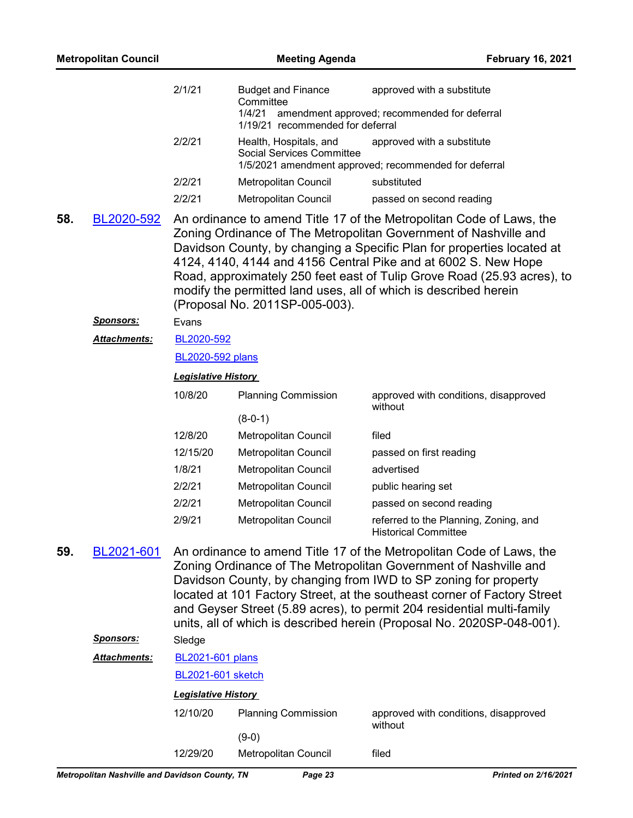| <b>Metropolitan Council</b> |                  | <b>Meeting Agenda</b>      |                                                                                      | <b>February 16, 2021</b>                                                                                                                                                                                                                                                                                                                                                                                                                    |
|-----------------------------|------------------|----------------------------|--------------------------------------------------------------------------------------|---------------------------------------------------------------------------------------------------------------------------------------------------------------------------------------------------------------------------------------------------------------------------------------------------------------------------------------------------------------------------------------------------------------------------------------------|
|                             |                  | 2/1/21                     | <b>Budget and Finance</b><br>Committee<br>1/4/21<br>1/19/21 recommended for deferral | approved with a substitute<br>amendment approved; recommended for deferral                                                                                                                                                                                                                                                                                                                                                                  |
|                             |                  | 2/2/21                     | Health, Hospitals, and<br><b>Social Services Committee</b>                           | approved with a substitute<br>1/5/2021 amendment approved; recommended for deferral                                                                                                                                                                                                                                                                                                                                                         |
|                             |                  | 2/2/21                     | Metropolitan Council                                                                 | substituted                                                                                                                                                                                                                                                                                                                                                                                                                                 |
|                             |                  | 2/2/21                     | <b>Metropolitan Council</b>                                                          | passed on second reading                                                                                                                                                                                                                                                                                                                                                                                                                    |
| 58.                         | BL2020-592       |                            | (Proposal No. 2011SP-005-003).                                                       | An ordinance to amend Title 17 of the Metropolitan Code of Laws, the<br>Zoning Ordinance of The Metropolitan Government of Nashville and<br>Davidson County, by changing a Specific Plan for properties located at<br>4124, 4140, 4144 and 4156 Central Pike and at 6002 S. New Hope<br>Road, approximately 250 feet east of Tulip Grove Road (25.93 acres), to<br>modify the permitted land uses, all of which is described herein         |
|                             | <u>Sponsors:</u> | Evans                      |                                                                                      |                                                                                                                                                                                                                                                                                                                                                                                                                                             |
|                             | Attachments:     | BL2020-592                 |                                                                                      |                                                                                                                                                                                                                                                                                                                                                                                                                                             |
|                             |                  | <b>BL2020-592 plans</b>    |                                                                                      |                                                                                                                                                                                                                                                                                                                                                                                                                                             |
|                             |                  | <b>Legislative History</b> |                                                                                      |                                                                                                                                                                                                                                                                                                                                                                                                                                             |
|                             |                  | 10/8/20                    | <b>Planning Commission</b>                                                           | approved with conditions, disapproved<br>without                                                                                                                                                                                                                                                                                                                                                                                            |
|                             |                  |                            | $(8-0-1)$                                                                            |                                                                                                                                                                                                                                                                                                                                                                                                                                             |
|                             |                  | 12/8/20                    | Metropolitan Council                                                                 | filed                                                                                                                                                                                                                                                                                                                                                                                                                                       |
|                             |                  | 12/15/20                   | Metropolitan Council                                                                 | passed on first reading                                                                                                                                                                                                                                                                                                                                                                                                                     |
|                             |                  | 1/8/21                     | Metropolitan Council                                                                 | advertised                                                                                                                                                                                                                                                                                                                                                                                                                                  |
|                             |                  | 2/2/21                     | Metropolitan Council                                                                 | public hearing set                                                                                                                                                                                                                                                                                                                                                                                                                          |
|                             |                  | 2/2/21                     | Metropolitan Council                                                                 | passed on second reading                                                                                                                                                                                                                                                                                                                                                                                                                    |
|                             |                  | 2/9/21                     | <b>Metropolitan Council</b>                                                          | referred to the Planning, Zoning, and<br><b>Historical Committee</b>                                                                                                                                                                                                                                                                                                                                                                        |
| 59.                         | BL2021-601       |                            |                                                                                      | An ordinance to amend Title 17 of the Metropolitan Code of Laws, the<br>Zoning Ordinance of The Metropolitan Government of Nashville and<br>Davidson County, by changing from IWD to SP zoning for property<br>located at 101 Factory Street, at the southeast corner of Factory Street<br>and Geyser Street (5.89 acres), to permit 204 residential multi-family<br>units, all of which is described herein (Proposal No. 2020SP-048-001). |
|                             | <u>Sponsors:</u> | Sledge                     |                                                                                      |                                                                                                                                                                                                                                                                                                                                                                                                                                             |
|                             | Attachments:     | <b>BL2021-601 plans</b>    |                                                                                      |                                                                                                                                                                                                                                                                                                                                                                                                                                             |
|                             |                  | <b>BL2021-601 sketch</b>   |                                                                                      |                                                                                                                                                                                                                                                                                                                                                                                                                                             |
|                             |                  | <b>Legislative History</b> |                                                                                      |                                                                                                                                                                                                                                                                                                                                                                                                                                             |
|                             |                  | 12/10/20                   | <b>Planning Commission</b>                                                           | approved with conditions, disapproved<br>without                                                                                                                                                                                                                                                                                                                                                                                            |
|                             |                  |                            | $(9-0)$                                                                              |                                                                                                                                                                                                                                                                                                                                                                                                                                             |
|                             |                  | 12/29/20                   | Metropolitan Council                                                                 | filed                                                                                                                                                                                                                                                                                                                                                                                                                                       |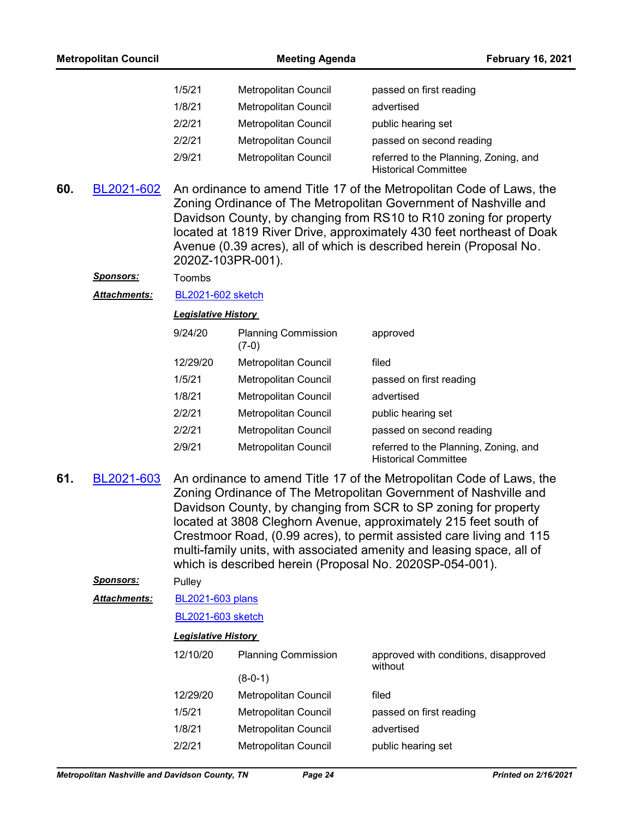| 1/5/21 | <b>Metropolitan Council</b> | passed on first reading                                              |
|--------|-----------------------------|----------------------------------------------------------------------|
| 1/8/21 | <b>Metropolitan Council</b> | advertised                                                           |
| 2/2/21 | <b>Metropolitan Council</b> | public hearing set                                                   |
| 2/2/21 | <b>Metropolitan Council</b> | passed on second reading                                             |
| 2/9/21 | <b>Metropolitan Council</b> | referred to the Planning, Zoning, and<br><b>Historical Committee</b> |

- An ordinance to amend Title 17 of the Metropolitan Code of Laws, the Zoning Ordinance of The Metropolitan Government of Nashville and Davidson County, by changing from RS10 to R10 zoning for property located at 1819 River Drive, approximately 430 feet northeast of Doak Avenue (0.39 acres), all of which is described herein (Proposal No. 2020Z-103PR-001). **60.** [BL2021-602](http://nashville.legistar.com/gateway.aspx?m=l&id=/matter.aspx?key=1792)
	- *Sponsors:* Toombs
	- *Attachments:* [BL2021-602 sketch](http://nashville.legistar.com/gateway.aspx?M=F&ID=511a5a70-eb21-486f-ac62-2bc1986d1c58.docx)

#### *Legislative History*

| 9/24/20  | <b>Planning Commission</b><br>(7-0) | approved                                                             |
|----------|-------------------------------------|----------------------------------------------------------------------|
| 12/29/20 | <b>Metropolitan Council</b>         | filed                                                                |
| 1/5/21   | <b>Metropolitan Council</b>         | passed on first reading                                              |
| 1/8/21   | Metropolitan Council                | advertised                                                           |
| 2/2/21   | <b>Metropolitan Council</b>         | public hearing set                                                   |
| 2/2/21   | <b>Metropolitan Council</b>         | passed on second reading                                             |
| 2/9/21   | <b>Metropolitan Council</b>         | referred to the Planning, Zoning, and<br><b>Historical Committee</b> |

An ordinance to amend Title 17 of the Metropolitan Code of Laws, the Zoning Ordinance of The Metropolitan Government of Nashville and Davidson County, by changing from SCR to SP zoning for property located at 3808 Cleghorn Avenue, approximately 215 feet south of Crestmoor Road, (0.99 acres), to permit assisted care living and 115 multi-family units, with associated amenity and leasing space, all of which is described herein (Proposal No. 2020SP-054-001). **61.** [BL2021-603](http://nashville.legistar.com/gateway.aspx?m=l&id=/matter.aspx?key=1760)

#### *Sponsors:* Pulley

[BL2021-603 plans](http://nashville.legistar.com/gateway.aspx?M=F&ID=587649b0-8429-497e-9aca-e7a0ec0626ec.pdf) *Attachments:*

#### [BL2021-603 sketch](http://nashville.legistar.com/gateway.aspx?M=F&ID=1202d5ec-3a3c-4b6e-814b-1a8551942f82.docx)

| 12/10/20 | <b>Planning Commission</b>  | approved with conditions, disapproved<br>without |
|----------|-----------------------------|--------------------------------------------------|
|          | $(8-0-1)$                   |                                                  |
| 12/29/20 | Metropolitan Council        | filed                                            |
| 1/5/21   | <b>Metropolitan Council</b> | passed on first reading                          |
| 1/8/21   | Metropolitan Council        | advertised                                       |
| 2/2/21   | <b>Metropolitan Council</b> | public hearing set                               |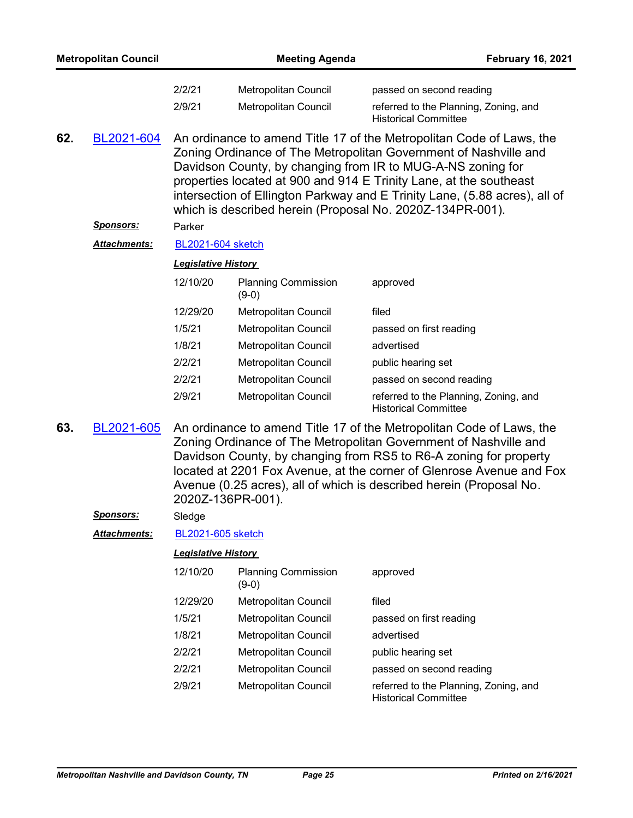|     | <b>Metropolitan Council</b> |                            | <b>Meeting Agenda</b>                 | <b>February 16, 2021</b>                                                                                                                                                                                                                                                                                                                                                                                                 |
|-----|-----------------------------|----------------------------|---------------------------------------|--------------------------------------------------------------------------------------------------------------------------------------------------------------------------------------------------------------------------------------------------------------------------------------------------------------------------------------------------------------------------------------------------------------------------|
|     |                             | 2/2/21                     | Metropolitan Council                  | passed on second reading                                                                                                                                                                                                                                                                                                                                                                                                 |
|     |                             | 2/9/21                     | <b>Metropolitan Council</b>           | referred to the Planning, Zoning, and<br><b>Historical Committee</b>                                                                                                                                                                                                                                                                                                                                                     |
| 62. | BL2021-604                  |                            |                                       | An ordinance to amend Title 17 of the Metropolitan Code of Laws, the<br>Zoning Ordinance of The Metropolitan Government of Nashville and<br>Davidson County, by changing from IR to MUG-A-NS zoning for<br>properties located at 900 and 914 E Trinity Lane, at the southeast<br>intersection of Ellington Parkway and E Trinity Lane, (5.88 acres), all of<br>which is described herein (Proposal No. 2020Z-134PR-001). |
|     | <u>Sponsors:</u>            | Parker                     |                                       |                                                                                                                                                                                                                                                                                                                                                                                                                          |
|     | <b>Attachments:</b>         | <b>BL2021-604 sketch</b>   |                                       |                                                                                                                                                                                                                                                                                                                                                                                                                          |
|     |                             | <b>Legislative History</b> |                                       |                                                                                                                                                                                                                                                                                                                                                                                                                          |
|     |                             | 12/10/20                   | <b>Planning Commission</b><br>$(9-0)$ | approved                                                                                                                                                                                                                                                                                                                                                                                                                 |
|     |                             | 12/29/20                   | Metropolitan Council                  | filed                                                                                                                                                                                                                                                                                                                                                                                                                    |
|     |                             | 1/5/21                     | Metropolitan Council                  | passed on first reading                                                                                                                                                                                                                                                                                                                                                                                                  |
|     |                             | 1/8/21                     | Metropolitan Council                  | advertised                                                                                                                                                                                                                                                                                                                                                                                                               |
|     |                             | 2/2/21                     | Metropolitan Council                  | public hearing set                                                                                                                                                                                                                                                                                                                                                                                                       |
|     |                             | 2/2/21                     | Metropolitan Council                  | passed on second reading                                                                                                                                                                                                                                                                                                                                                                                                 |
|     |                             | 2/9/21                     | Metropolitan Council                  | referred to the Planning, Zoning, and<br><b>Historical Committee</b>                                                                                                                                                                                                                                                                                                                                                     |
| 63. | BL2021-605                  |                            | 2020Z-136PR-001).                     | An ordinance to amend Title 17 of the Metropolitan Code of Laws, the<br>Zoning Ordinance of The Metropolitan Government of Nashville and<br>Davidson County, by changing from RS5 to R6-A zoning for property<br>located at 2201 Fox Avenue, at the corner of Glenrose Avenue and Fox<br>Avenue (0.25 acres), all of which is described herein (Proposal No.                                                             |
|     | <b>Sponsors:</b>            | Sledge                     |                                       |                                                                                                                                                                                                                                                                                                                                                                                                                          |
|     | Attachments:                | <b>BL2021-605 sketch</b>   |                                       |                                                                                                                                                                                                                                                                                                                                                                                                                          |
|     |                             | <b>Legislative History</b> |                                       |                                                                                                                                                                                                                                                                                                                                                                                                                          |
|     |                             | 12/10/20                   | <b>Planning Commission</b><br>$(9-0)$ | approved                                                                                                                                                                                                                                                                                                                                                                                                                 |
|     |                             | 12/29/20                   | <b>Metropolitan Council</b>           | filed                                                                                                                                                                                                                                                                                                                                                                                                                    |
|     |                             | 1/5/21                     | Metropolitan Council                  | passed on first reading                                                                                                                                                                                                                                                                                                                                                                                                  |
|     |                             | 1/8/21                     | Metropolitan Council                  | advertised                                                                                                                                                                                                                                                                                                                                                                                                               |
|     |                             | 2/2/21                     | Metropolitan Council                  | public hearing set                                                                                                                                                                                                                                                                                                                                                                                                       |
|     |                             | 2/2/21                     | Metropolitan Council                  | passed on second reading                                                                                                                                                                                                                                                                                                                                                                                                 |
|     |                             | $\sim$ 10 $\sim$ 10 $\sim$ |                                       |                                                                                                                                                                                                                                                                                                                                                                                                                          |

2/9/21 Metropolitan Council referred to the Planning, Zoning, and Historical Committee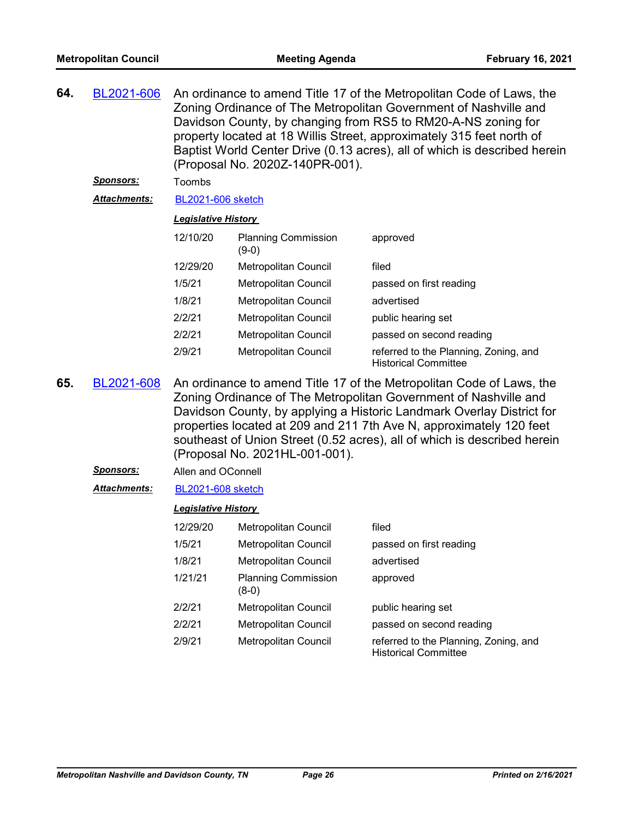| 64. | BL2021-606          | An ordinance to amend Title 17 of the Metropolitan Code of Laws, the<br>Zoning Ordinance of The Metropolitan Government of Nashville and<br>Davidson County, by changing from RS5 to RM20-A-NS zoning for<br>property located at 18 Willis Street, approximately 315 feet north of<br>Baptist World Center Drive (0.13 acres), all of which is described herein<br>(Proposal No. 2020Z-140PR-001). |                                       |                                                                      |
|-----|---------------------|----------------------------------------------------------------------------------------------------------------------------------------------------------------------------------------------------------------------------------------------------------------------------------------------------------------------------------------------------------------------------------------------------|---------------------------------------|----------------------------------------------------------------------|
|     | <u>Sponsors:</u>    | Toombs                                                                                                                                                                                                                                                                                                                                                                                             |                                       |                                                                      |
|     | <b>Attachments:</b> | <b>BL2021-606 sketch</b>                                                                                                                                                                                                                                                                                                                                                                           |                                       |                                                                      |
|     |                     | <b>Legislative History</b>                                                                                                                                                                                                                                                                                                                                                                         |                                       |                                                                      |
|     |                     | 12/10/20                                                                                                                                                                                                                                                                                                                                                                                           | <b>Planning Commission</b><br>$(9-0)$ | approved                                                             |
|     |                     | 12/29/20                                                                                                                                                                                                                                                                                                                                                                                           | <b>Metropolitan Council</b>           | filed                                                                |
|     |                     | 1/5/21                                                                                                                                                                                                                                                                                                                                                                                             | <b>Metropolitan Council</b>           | passed on first reading                                              |
|     |                     | 1/8/21                                                                                                                                                                                                                                                                                                                                                                                             | Metropolitan Council                  | advertised                                                           |
|     |                     | 2/2/21                                                                                                                                                                                                                                                                                                                                                                                             | <b>Metropolitan Council</b>           | public hearing set                                                   |
|     |                     | 2/2/21                                                                                                                                                                                                                                                                                                                                                                                             | Metropolitan Council                  | passed on second reading                                             |
|     |                     | 2/9/21                                                                                                                                                                                                                                                                                                                                                                                             | <b>Metropolitan Council</b>           | referred to the Planning, Zoning, and<br><b>Historical Committee</b> |

- An ordinance to amend Title 17 of the Metropolitan Code of Laws, the Zoning Ordinance of The Metropolitan Government of Nashville and Davidson County, by applying a Historic Landmark Overlay District for properties located at 209 and 211 7th Ave N, approximately 120 feet southeast of Union Street (0.52 acres), all of which is described herein (Proposal No. 2021HL-001-001). **65.** [BL2021-608](http://nashville.legistar.com/gateway.aspx?m=l&id=/matter.aspx?key=1767)
	- *Sponsors:* Allen and OConnell
	- *Attachments:* [BL2021-608 sketch](http://nashville.legistar.com/gateway.aspx?M=F&ID=54bd14c2-94ed-486d-bca7-05983b759ff1.docx)

| 12/29/20 | Metropolitan Council                | filed                                                                |
|----------|-------------------------------------|----------------------------------------------------------------------|
| 1/5/21   | Metropolitan Council                | passed on first reading                                              |
| 1/8/21   | Metropolitan Council                | advertised                                                           |
| 1/21/21  | <b>Planning Commission</b><br>(8-0) | approved                                                             |
| 2/2/21   | <b>Metropolitan Council</b>         | public hearing set                                                   |
| 2/2/21   | <b>Metropolitan Council</b>         | passed on second reading                                             |
| 2/9/21   | <b>Metropolitan Council</b>         | referred to the Planning, Zoning, and<br><b>Historical Committee</b> |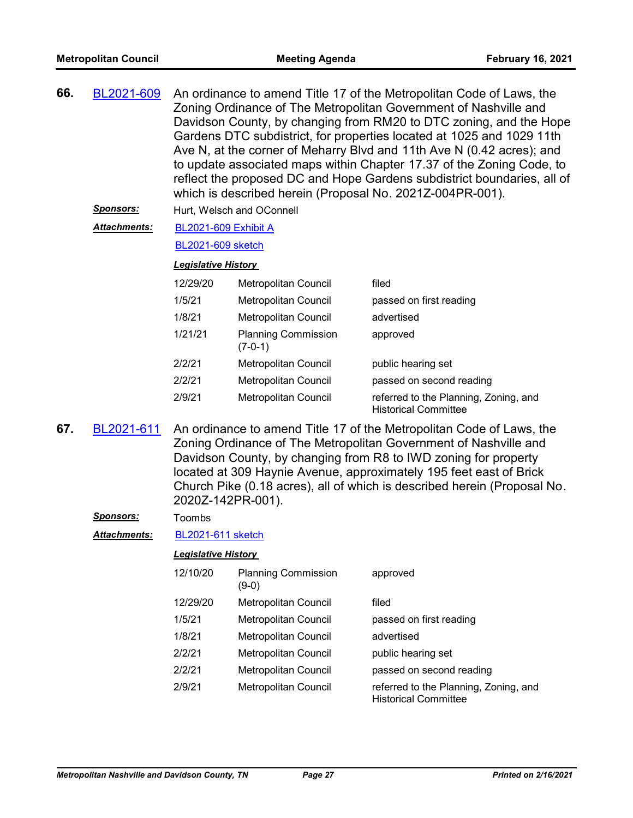| 66. | BL2021-609            | An ordinance to amend Title 17 of the Metropolitan Code of Laws, the<br>Zoning Ordinance of The Metropolitan Government of Nashville and<br>Davidson County, by changing from RM20 to DTC zoning, and the Hope<br>Gardens DTC subdistrict, for properties located at 1025 and 1029 11th<br>Ave N, at the corner of Meharry Blvd and 11th Ave N (0.42 acres); and |
|-----|-----------------------|------------------------------------------------------------------------------------------------------------------------------------------------------------------------------------------------------------------------------------------------------------------------------------------------------------------------------------------------------------------|
|     |                       | to update associated maps within Chapter 17.37 of the Zoning Code, to<br>reflect the proposed DC and Hope Gardens subdistrict boundaries, all of<br>which is described herein (Proposal No. 2021Z-004PR-001).                                                                                                                                                    |
|     | Snonsors <sup>.</sup> | $U_{\text{tot}}$ , $M_{\text{olcoh}}$ and $\Omega_{\text{onmol}}$                                                                                                                                                                                                                                                                                                |

*Sponsors:* Hurt, Welsch and OConnell

[BL2021-609 Exhibit A](http://nashville.legistar.com/gateway.aspx?M=F&ID=b0ef0b52-981a-4586-b56c-d0c0b0780e0a.pdf) *Attachments:*

[BL2021-609 sketch](http://nashville.legistar.com/gateway.aspx?M=F&ID=1ba92109-fd53-4c05-86d1-1141b7c656c9.docx)

#### *Legislative History*

| 12/29/20 | Metropolitan Council                    | filed                                                                |
|----------|-----------------------------------------|----------------------------------------------------------------------|
| 1/5/21   | Metropolitan Council                    | passed on first reading                                              |
| 1/8/21   | Metropolitan Council                    | advertised                                                           |
| 1/21/21  | <b>Planning Commission</b><br>$(7-0-1)$ | approved                                                             |
| 2/2/21   | Metropolitan Council                    | public hearing set                                                   |
| 2/2/21   | Metropolitan Council                    | passed on second reading                                             |
| 2/9/21   | Metropolitan Council                    | referred to the Planning, Zoning, and<br><b>Historical Committee</b> |

An ordinance to amend Title 17 of the Metropolitan Code of Laws, the Zoning Ordinance of The Metropolitan Government of Nashville and Davidson County, by changing from R8 to IWD zoning for property located at 309 Haynie Avenue, approximately 195 feet east of Brick Church Pike (0.18 acres), all of which is described herein (Proposal No. 2020Z-142PR-001). **67.** [BL2021-611](http://nashville.legistar.com/gateway.aspx?m=l&id=/matter.aspx?key=1766)

*Sponsors:* Toombs

*Attachments:* [BL2021-611 sketch](http://nashville.legistar.com/gateway.aspx?M=F&ID=37874302-9f78-4158-9899-89193a9b1506.docx)

| 12/10/20 | <b>Planning Commission</b><br>(9-0) | approved                                                             |
|----------|-------------------------------------|----------------------------------------------------------------------|
| 12/29/20 | Metropolitan Council                | filed                                                                |
| 1/5/21   | Metropolitan Council                | passed on first reading                                              |
| 1/8/21   | <b>Metropolitan Council</b>         | advertised                                                           |
| 2/2/21   | Metropolitan Council                | public hearing set                                                   |
| 2/2/21   | Metropolitan Council                | passed on second reading                                             |
| 2/9/21   | Metropolitan Council                | referred to the Planning, Zoning, and<br><b>Historical Committee</b> |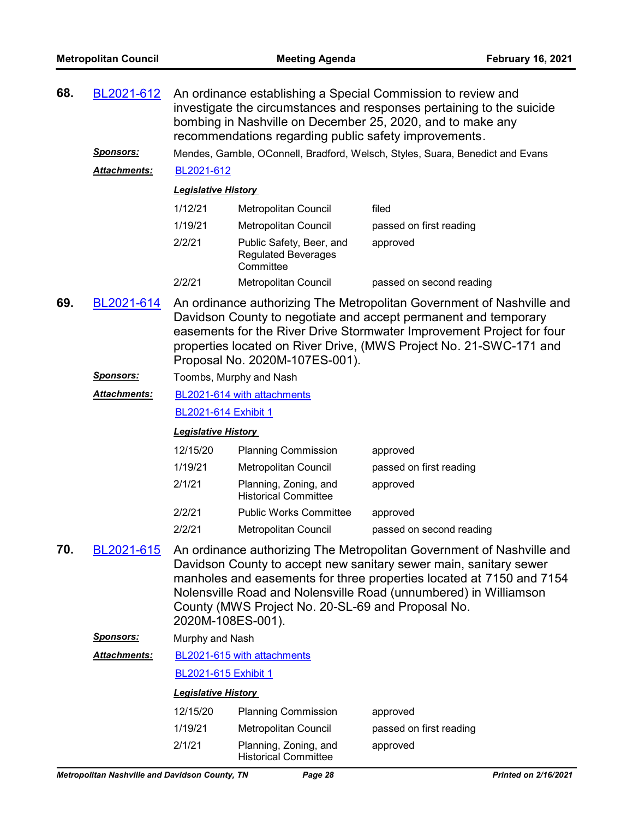| 68. | BL2021-612<br><u>Sponsors:</u> | An ordinance establishing a Special Commission to review and<br>investigate the circumstances and responses pertaining to the suicide<br>bombing in Nashville on December 25, 2020, and to make any<br>recommendations regarding public safety improvements.<br>Mendes, Gamble, OConnell, Bradford, Welsch, Styles, Suara, Benedict and Evans                                                                                                                            |                                                      |                          |  |  |
|-----|--------------------------------|--------------------------------------------------------------------------------------------------------------------------------------------------------------------------------------------------------------------------------------------------------------------------------------------------------------------------------------------------------------------------------------------------------------------------------------------------------------------------|------------------------------------------------------|--------------------------|--|--|
|     | <b>Attachments:</b>            | BL2021-612                                                                                                                                                                                                                                                                                                                                                                                                                                                               |                                                      |                          |  |  |
|     |                                | <b>Legislative History</b>                                                                                                                                                                                                                                                                                                                                                                                                                                               |                                                      | filed                    |  |  |
|     |                                | 1/12/21<br>1/19/21                                                                                                                                                                                                                                                                                                                                                                                                                                                       | <b>Metropolitan Council</b><br>Metropolitan Council  |                          |  |  |
|     |                                | 2/2/21                                                                                                                                                                                                                                                                                                                                                                                                                                                                   | Public Safety, Beer, and                             | passed on first reading  |  |  |
|     |                                |                                                                                                                                                                                                                                                                                                                                                                                                                                                                          | <b>Regulated Beverages</b><br>Committee              | approved                 |  |  |
|     |                                | 2/2/21                                                                                                                                                                                                                                                                                                                                                                                                                                                                   | <b>Metropolitan Council</b>                          | passed on second reading |  |  |
| 69. | BL2021-614                     | An ordinance authorizing The Metropolitan Government of Nashville and<br>Davidson County to negotiate and accept permanent and temporary<br>easements for the River Drive Stormwater Improvement Project for four<br>properties located on River Drive, (MWS Project No. 21-SWC-171 and<br>Proposal No. 2020M-107ES-001).                                                                                                                                                |                                                      |                          |  |  |
|     | <u>Sponsors:</u>               |                                                                                                                                                                                                                                                                                                                                                                                                                                                                          | Toombs, Murphy and Nash                              |                          |  |  |
|     | Attachments:                   |                                                                                                                                                                                                                                                                                                                                                                                                                                                                          | BL2021-614 with attachments                          |                          |  |  |
|     |                                | BL2021-614 Exhibit 1                                                                                                                                                                                                                                                                                                                                                                                                                                                     |                                                      |                          |  |  |
|     |                                | <b>Legislative History</b>                                                                                                                                                                                                                                                                                                                                                                                                                                               |                                                      |                          |  |  |
|     |                                | 12/15/20                                                                                                                                                                                                                                                                                                                                                                                                                                                                 | <b>Planning Commission</b>                           | approved                 |  |  |
|     |                                | 1/19/21                                                                                                                                                                                                                                                                                                                                                                                                                                                                  | Metropolitan Council                                 | passed on first reading  |  |  |
|     |                                | 2/1/21                                                                                                                                                                                                                                                                                                                                                                                                                                                                   | Planning, Zoning, and<br><b>Historical Committee</b> | approved                 |  |  |
|     |                                | 2/2/21                                                                                                                                                                                                                                                                                                                                                                                                                                                                   | <b>Public Works Committee</b>                        | approved                 |  |  |
|     |                                | 2/2/21                                                                                                                                                                                                                                                                                                                                                                                                                                                                   | Metropolitan Council                                 | passed on second reading |  |  |
| 70. | BL2021-615                     | An ordinance authorizing The Metropolitan Government of Nashville and<br>Davidson County to accept new sanitary sewer main, sanitary sewer<br>manholes and easements for three properties located at 7150 and 7154<br>Nolensville Road and Nolensville Road (unnumbered) in Williamson<br>County (MWS Project No. 20-SL-69 and Proposal No.<br>2020M-108ES-001).<br>Murphy and Nash<br>BL2021-615 with attachments<br>BL2021-615 Exhibit 1<br><b>Legislative History</b> |                                                      |                          |  |  |
|     | <u>Sponsors:</u>               |                                                                                                                                                                                                                                                                                                                                                                                                                                                                          |                                                      |                          |  |  |
|     | <b>Attachments:</b>            |                                                                                                                                                                                                                                                                                                                                                                                                                                                                          |                                                      |                          |  |  |
|     |                                |                                                                                                                                                                                                                                                                                                                                                                                                                                                                          |                                                      |                          |  |  |
|     |                                |                                                                                                                                                                                                                                                                                                                                                                                                                                                                          |                                                      |                          |  |  |
|     |                                | 12/15/20                                                                                                                                                                                                                                                                                                                                                                                                                                                                 | <b>Planning Commission</b>                           | approved                 |  |  |
|     |                                | 1/19/21                                                                                                                                                                                                                                                                                                                                                                                                                                                                  | <b>Metropolitan Council</b>                          | passed on first reading  |  |  |
|     |                                | 2/1/21                                                                                                                                                                                                                                                                                                                                                                                                                                                                   | Planning, Zoning, and                                | approved                 |  |  |

Historical Committee